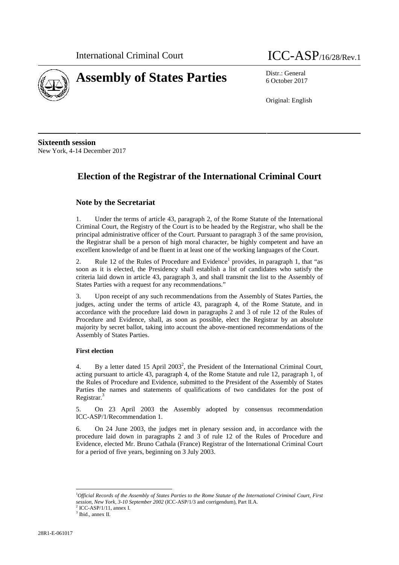



6 October 2017

Original: English

**Sixteenth session** New York, 4-14 December 2017

# **Election of the Registrar of the International Criminal Court**

# **Note by the Secretariat**

1. Under the terms of article 43, paragraph 2, of the Rome Statute of the International Criminal Court, the Registry of the Court is to be headed by the Registrar, who shall be the principal administrative officer of the Court. Pursuant to paragraph 3 of the same provision, the Registrar shall be a person of high moral character, be highly competent and have an excellent knowledge of and be fluent in at least one of the working languages of the Court.

2. Rule 12 of the Rules of Procedure and Evidence<sup>1</sup> provides, in paragraph 1, that "as soon as it is elected, the Presidency shall establish a list of candidates who satisfy the criteria laid down in article 43, paragraph 3, and shall transmit the list to the Assembly of States Parties with a request for any recommendations."

3. Upon receipt of any such recommendations from the Assembly of States Parties, the judges, acting under the terms of article 43, paragraph 4, of the Rome Statute, and in accordance with the procedure laid down in paragraphs 2 and 3 of rule 12 of the Rules of Procedure and Evidence, shall, as soon as possible, elect the Registrar by an absolute majority by secret ballot, taking into account the above-mentioned recommendations of the Assembly of States Parties.

# **First election**

4. By a letter dated 15 April 2003<sup>2</sup>, the President of the International Criminal Court, acting pursuant to article 43, paragraph 4, of the Rome Statute and rule 12, paragraph 1, of the Rules of Procedure and Evidence, submitted to the President of the Assembly of States Parties the names and statements of qualifications of two candidates for the post of Registrar.<sup>3</sup>

5. On 23 April 2003 the Assembly adopted by consensus recommendation ICC-ASP/1/Recommendation 1.

6. On 24 June 2003, the judges met in plenary session and, in accordance with the procedure laid down in paragraphs 2 and 3 of rule 12 of the Rules of Procedure and Evidence, elected Mr. Bruno Cathala (France) Registrar of the International Criminal Court for a period of five years, beginning on 3 July 2003.

<sup>1</sup>*Official Records of the Assembly of States Parties to the Rome Statute of the International Criminal Court, First session, New York, 3-10 September 2002* (ICC-ASP/1/3 and corrigendum), Part II.A.

 $^2$  ICC-ASP/1/11, annex I.<br> $^3$  Ibid., annex II.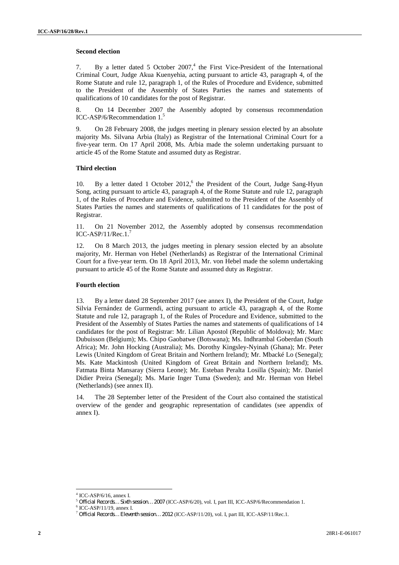# **Second election**

7. By a letter dated 5 October  $2007$ ,<sup>4</sup> the First Vice-President of the International Criminal Court, Judge Akua Kuenyehia, acting pursuant to article 43, paragraph 4, of the Rome Statute and rule 12, paragraph 1, of the Rules of Procedure and Evidence, submitted to the President of the Assembly of States Parties the names and statements of qualifications of 10 candidates for the post of Registrar.

8. On 14 December 2007 the Assembly adopted by consensus recommendation ICC-ASP/6/Recommendation 1.

9. On 28 February 2008, the judges meeting in plenary session elected by an absolute majority Ms. Silvana Arbia (Italy) as Registrar of the International Criminal Court for a five-year term. On 17 April 2008, Ms. Arbia made the solemn undertaking pursuant to article 45 of the Rome Statute and assumed duty as Registrar.

#### **Third election**

10. By a letter dated 1 October 2012,<sup>6</sup> the President of the Court, Judge Sang-Hyun Song, acting pursuant to article 43, paragraph 4, of the Rome Statute and rule 12, paragraph 1, of the Rules of Procedure and Evidence, submitted to the President of the Assembly of States Parties the names and statements of qualifications of 11 candidates for the post of Registrar.

11. On 21 November 2012, the Assembly adopted by consensus recommendation ICC-ASP/11/Rec.1. $^7$ 

12. On 8 March 2013, the judges meeting in plenary session elected by an absolute majority, Mr. Herman von Hebel (Netherlands) as Registrar of the International Criminal Court for a five-year term. On 18 April 2013, Mr. von Hebel made the solemn undertaking pursuant to article 45 of the Rome Statute and assumed duty as Registrar.

#### **Fourth election**

13. By a letter dated 28 September 2017 (see annex I), the President of the Court, Judge Silvia Fernández de Gurmendi, acting pursuant to article 43, paragraph 4, of the Rome Statute and rule 12, paragraph 1, of the Rules of Procedure and Evidence, submitted to the President of the Assembly of States Parties the names and statements of qualifications of 14 candidates for the post of Registrar: Mr. Lilian Apostol (Republic of Moldova); Mr. Marc Dubuisson (Belgium); Ms. Chipo Gaobatwe (Botswana); Ms. Indhrambal Goberdan (South Africa); Mr. John Hocking (Australia); Ms. Dorothy Kingsley-Nyinah (Ghana); Mr. Peter Lewis (United Kingdom of Great Britain and Northern Ireland); Mr. Mbacké Lo (Senegal); Ms. Kate Mackintosh (United Kingdom of Great Britain and Northern Ireland); Ms. Fatmata Binta Mansaray (Sierra Leone); Mr. Esteban Peralta Losilla (Spain); Mr. Daniel Didier Preira (Senegal); Ms. Marie Inger Tuma (Sweden); and Mr. Herman von Hebel (Netherlands) (see annex II).

14. The 28 September letter of the President of the Court also contained the statistical overview of the gender and geographic representation of candidates (see appendix of annex I).

ICC-ASP/6/16, annex I.

<sup>&</sup>lt;sup>5</sup> Official Records... Sixth session... 2007 (ICC-ASP/6/20), vol. I, part III, ICC-ASP/6/Recommendation 1.<br><sup>6</sup> ICC-ASP/11/19, annex I.<br><sup>7</sup> Official Records... Eleventh session... 2012 (ICC-ASP/11/20), vol. I, part III, I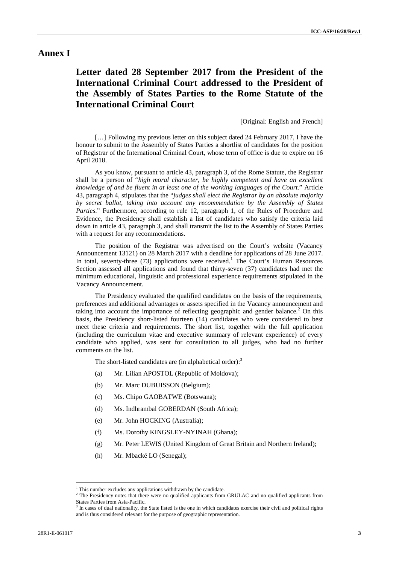# **Annex I**

# **Letter dated 28 September 2017 from the President of the International Criminal Court addressed to the President of the Assembly of States Parties to the Rome Statute of the International Criminal Court**

#### [Original: English and French]

[...] Following my previous letter on this subject dated 24 February 2017, I have the honour to submit to the Assembly of States Parties a shortlist of candidates for the position of Registrar of the International Criminal Court, whose term of office is due to expire on 16 April 2018.

As you know, pursuant to article 43, paragraph 3, of the Rome Statute, the Registrar shall be a person of "*high moral character, be highly competent and have an excellent knowledge of and be fluent in at least one of the working languages of the Court*." Article 43, paragraph 4, stipulates that the "*judges shall elect the Registrar by an absolute majority by secret ballot, taking into account any recommendation by the Assembly of States Parties*." Furthermore, according to rule 12, paragraph 1, of the Rules of Procedure and Evidence, the Presidency shall establish a list of candidates who satisfy the criteria laid down in article 43, paragraph 3, and shall transmit the list to the Assembly of States Parties with a request for any recommendations.

The position of the Registrar was advertised on the Court's website (Vacancy Announcement 13121) on 28 March 2017 with a deadline for applications of 28 June 2017. In total, seventy-three  $(73)$  applications were received.<sup>1</sup> The Court's Human Resources Section assessed all applications and found that thirty-seven (37) candidates had met the minimum educational, linguistic and professional experience requirements stipulated in the Vacancy Announcement.

The Presidency evaluated the qualified candidates on the basis of the requirements, preferences and additional advantages or assets specified in the Vacancy announcement and taking into account the importance of reflecting geographic and gender balance.<sup>2</sup> On this basis, the Presidency short-listed fourteen (14) candidates who were considered to best meet these criteria and requirements. The short list, together with the full application (including the curriculum vitae and executive summary of relevant experience) of every candidate who applied, was sent for consultation to all judges, who had no further comments on the list.

The short-listed candidates are (in alphabetical order):<sup>3</sup>

- (a) Mr. Lilian APOSTOL (Republic of Moldova);
- (b) Mr. Marc DUBUISSON (Belgium);
- (c) Ms. Chipo GAOBATWE (Botswana);
- (d) Ms. Indhrambal GOBERDAN (South Africa);
- (e) Mr. John HOCKING (Australia);
- (f) Ms. Dorothy KINGSLEY-NYINAH (Ghana);
- (g) Mr. Peter LEWIS (United Kingdom of Great Britain and Northern Ireland);
- (h) Mr. Mbacké LO (Senegal);

 $1$ <sup>1</sup> This number excludes any applications withdrawn by the candidate.<br><sup>2</sup> The Presidency notes that there were no qualified applicants from GRULAC and no qualified applicants from States Parties from Asia-Pacific.

<sup>&</sup>lt;sup>3</sup> In cases of dual nationality, the State listed is the one in which candidates exercise their civil and political rights and is thus considered relevant for the purpose of geographic representation.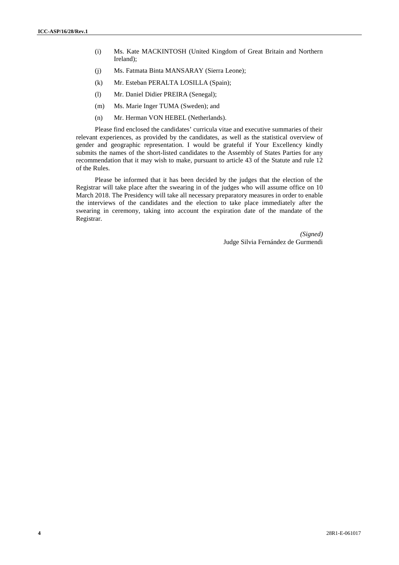- (i) Ms. Kate MACKINTOSH (United Kingdom of Great Britain and Northern Ireland);
- (j) Ms. Fatmata Binta MANSARAY (Sierra Leone);
- (k) Mr. Esteban PERALTA LOSILLA (Spain);
- (l) Mr. Daniel Didier PREIRA (Senegal);
- (m) Ms. Marie Inger TUMA (Sweden); and
- (n) Mr. Herman VON HEBEL (Netherlands).

Please find enclosed the candidates' curricula vitae and executive summaries of their relevant experiences, as provided by the candidates, as well as the statistical overview of gender and geographic representation. I would be grateful if Your Excellency kindly submits the names of the short-listed candidates to the Assembly of States Parties for any recommendation that it may wish to make, pursuant to article 43 of the Statute and rule 12 of the Rules.

Please be informed that it has been decided by the judges that the election of the Registrar will take place after the swearing in of the judges who will assume office on 10 March 2018. The Presidency will take all necessary preparatory measures in order to enable the interviews of the candidates and the election to take place immediately after the swearing in ceremony, taking into account the expiration date of the mandate of the Registrar.

> *(Signed)* Judge Silvia Fernández de Gurmendi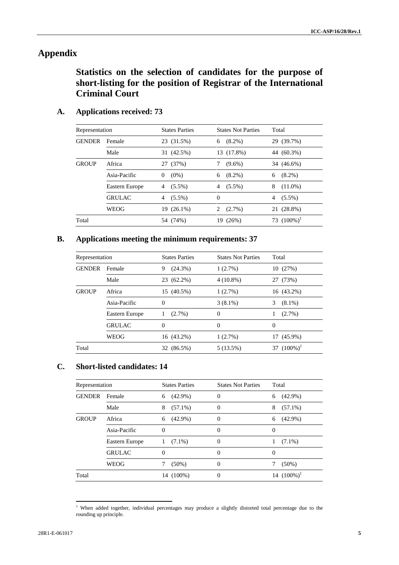# **Appendix**

**Statistics on the selection of candidates for the purpose of short-listing for the position of Registrar of the International Criminal Court**

| Representation |                | <b>States Parties</b> | <b>States Not Parties</b> | Total           |
|----------------|----------------|-----------------------|---------------------------|-----------------|
| <b>GENDER</b>  | Female         | 23 (31.5%)            | $(8.2\%)$<br>6            | 29 (39.7%)      |
|                | Male           | 31 (42.5%)            | 13 (17.8%)                | 44 (60.3%)      |
| <b>GROUP</b>   | Africa         | 27 (37%)              | $(9.6\%)$                 | 34 (46.6%)      |
|                | Asia-Pacific   | $(0\%)$<br>$\theta$   | $(8.2\%)$<br>6            | $(8.2\%)$<br>6  |
|                | Eastern Europe | $(5.5\%)$<br>4        | $(5.5\%)$<br>4            | $(11.0\%)$<br>8 |
|                | <b>GRULAC</b>  | $(5.5\%)$<br>4        | 0                         | $4(5.5\%)$      |
|                | WEOG           | 19 (26.1%)            | $(2.7\%)$<br>2            | 21 (28.8%)      |
| Total          |                | 54 (74%)              | 19 (26%)                  | 73 $(100\%)^1$  |

# **A. Applications received: 73**

# **B. Applications meeting the minimum requirements: 37**

| Representation |                | <b>States Parties</b> | <b>States Not Parties</b> | Total           |
|----------------|----------------|-----------------------|---------------------------|-----------------|
| <b>GENDER</b>  | Female         | (24.3%)<br>9          | 1(2.7%)                   | 10(27%)         |
|                | Male           | 23 (62.2%)            | $4(10.8\%)$               | 27 (73%)        |
| <b>GROUP</b>   | Africa         | 15 (40.5%)            | 1(2.7%)                   | 16 (43.2%)      |
|                | Asia-Pacific   | $\Omega$              | $3(8.1\%)$                | 3<br>$(8.1\%)$  |
|                | Eastern Europe | $(2.7\%)$<br>1        | $\Omega$                  | $(2.7\%)$<br>1. |
|                | <b>GRULAC</b>  | $\Omega$              | $\Omega$                  | $\Omega$        |
|                | WEOG           | 16 (43.2%)            | 1(2.7%)                   | 17 (45.9%)      |
| Total          |                | 32 (86.5%)            | 5(13.5%)                  | 37 $(100\%)^1$  |

# **C. Short-listed candidates: 14**

| Representation |                | <b>States Parties</b> | <b>States Not Parties</b> | Total           |
|----------------|----------------|-----------------------|---------------------------|-----------------|
| <b>GENDER</b>  | Female         | $(42.9\%)$<br>6       | $\Omega$                  | $6(42.9\%)$     |
|                | Male           | $(57.1\%)$<br>8       | $\Omega$                  | $(57.1\%)$<br>8 |
| <b>GROUP</b>   | Africa         | $(42.9\%)$<br>6       | $\Omega$                  | $(42.9\%)$<br>6 |
|                | Asia-Pacific   | 0                     | $\Omega$                  | $\Omega$        |
|                | Eastern Europe | $(7.1\%)$<br>1        | $\Omega$                  | $(7.1\%)$<br>1  |
|                | <b>GRULAC</b>  | 0                     | $\Omega$                  | $\Omega$        |
|                | WEOG           | $(50\%)$<br>7         | $\theta$                  | $(50\%)$        |
| Total          |                | 14 (100%)             | $\theta$                  | 14 $(100\%)^1$  |

<sup>&</sup>lt;sup>1</sup> When added together, individual percentages may produce a slightly distorted total percentage due to the rounding up principle.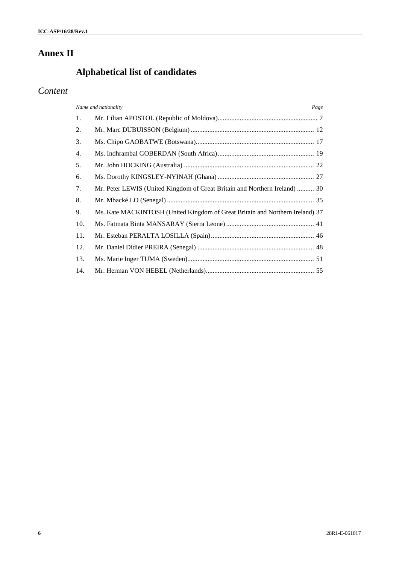# **Annex II**

# **Alphabetical list of candidates**

# *Content*

|     | Name and nationality<br>Page                                                  |  |
|-----|-------------------------------------------------------------------------------|--|
| 1.  |                                                                               |  |
| 2.  |                                                                               |  |
| 3.  |                                                                               |  |
| 4.  |                                                                               |  |
| 5.  |                                                                               |  |
| 6.  |                                                                               |  |
| 7.  | Mr. Peter LEWIS (United Kingdom of Great Britain and Northern Ireland)  30    |  |
| 8.  |                                                                               |  |
| 9.  | Ms. Kate MACKINTOSH (United Kingdom of Great Britain and Northern Ireland) 37 |  |
| 10. |                                                                               |  |
| 11. |                                                                               |  |
| 12. |                                                                               |  |
| 13. |                                                                               |  |
| 14. |                                                                               |  |
|     |                                                                               |  |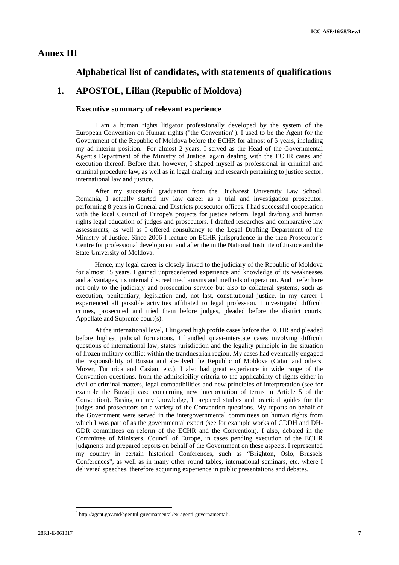# **Annex III**

# **Alphabetical list of candidates, with statements of qualifications**

# **1. APOSTOL, Lilian (Republic of Moldova)**

# **Executive summary of relevant experience**

I am a human rights litigator professionally developed by the system of the European Convention on Human rights ("the Convention"). I used to be the Agent for the Government of the Republic of Moldova before the ECHR for almost of 5 years, including my ad interim position.<sup>1</sup> For almost 2 years, I served as the Head of the Governmental Agent's Department of the Ministry of Justice, again dealing with the ECHR cases and execution thereof. Before that, however, I shaped myself as professional in criminal and criminal procedure law, as well as in legal drafting and research pertaining to justice sector, international law and justice.

After my successful graduation from the Bucharest University Law School, Romania, I actually started my law career as a trial and investigation prosecutor, performing 8 years in General and Districts prosecutor offices. I had successful cooperation with the local Council of Europe's projects for justice reform, legal drafting and human rights legal education of judges and prosecutors. I drafted researches and comparative law assessments, as well as I offered consultancy to the Legal Drafting Department of the Ministry of Justice. Since 2006 I lecture on ECHR jurisprudence in the then Prosecutor's Centre for professional development and after the in the National Institute of Justice and the State University of Moldova.

Hence, my legal career is closely linked to the judiciary of the Republic of Moldova for almost 15 years. I gained unprecedented experience and knowledge of its weaknesses and advantages, its internal discreet mechanisms and methods of operation. And I refer here not only to the judiciary and prosecution service but also to collateral systems, such as execution, penitentiary, legislation and, not last, constitutional justice. In my career I experienced all possible activities affiliated to legal profession. I investigated difficult crimes, prosecuted and tried them before judges, pleaded before the district courts, Appellate and Supreme court(s).

At the international level, I litigated high profile cases before the ECHR and pleaded before highest judicial formations. I handled quasi-interstate cases involving difficult questions of international law, states jurisdiction and the legality principle in the situation of frozen military conflict within the trandnestrian region. My cases had eventually engaged the responsibility of Russia and absolved the Republic of Moldova (Catan and others, Mozer, Turturica and Casian, etc.). I also had great experience in wide range of the Convention questions, from the admissibility criteria to the applicability of rights either in civil or criminal matters, legal compatibilities and new principles of interpretation (see for example the Buzadji case concerning new interpretation of terms in Article 5 of the Convention). Basing on my knowledge, I prepared studies and practical guides for the judges and prosecutors on a variety of the Convention questions. My reports on behalf of the Government were served in the intergovernmental committees on human rights from which I was part of as the governmental expert (see for example works of CDDH and DH- GDR committees on reform of the ECHR and the Convention). I also, debated in the Committee of Ministers, Council of Europe, in cases pending execution of the ECHR judgments and prepared reports on behalf of the Government on these aspects. I represented my country in certain historical Conferences, such as "Brighton, Oslo, Brussels Conferences", as well as in many other round tables, international seminars, etc. where I delivered speeches, therefore acquiring experience in public presentations and debates.

<sup>1</sup> http://agent.gov.md/agentul-guvernamental/ex-agenti-guvernamentali.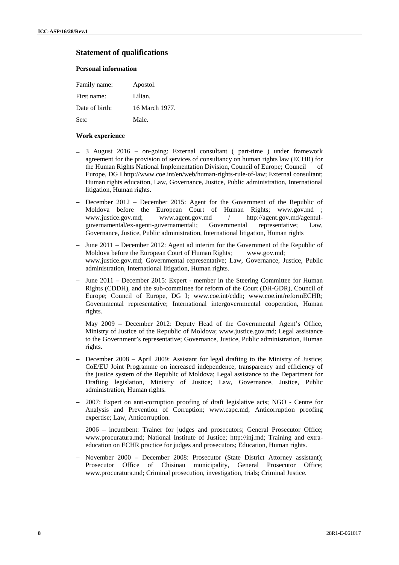# **Statement of qualifications**

# **Personal information**

| Family name:   | Apostol.       |
|----------------|----------------|
| First name:    | Lilian.        |
| Date of birth: | 16 March 1977. |
| Sex:           | Male.          |

## **Work experience**

- 3 August 2016 on-going: External consultant ( part-time ) under framework agreement for the provision of services of consultancy on human rights law (ECHR) for the Human Rights National Implementation Division, Council of Europe; Council of Europe, DG I http://www.coe.int/en/web/human-rights-rule-of-law; External consultant; Human rights education, Law, Governance, Justice, Public administration, International litigation, Human rights.
- December 2012 December 2015: Agent for the Government of the Republic of Moldova before the European Court of Human Rights; www.gov.md ; www.justice.gov.md; www.agent.gov.md / http://agent.gov.md/agentulguvernamental/ex-agenti-guvernamentali; Governmental representative; Law, Governance, Justice, Public administration, International litigation, Human rights
- June 2011 December 2012: Agent ad interim for the Government of the Republic of Moldova before the European Court of Human Rights; www.gov.md; www.justice.gov.md; Governmental representative; Law, Governance, Justice, Public administration, International litigation, Human rights.
- June 2011 December 2015: Expert member in the Steering Committee for Human Rights (CDDH), and the sub-committee for reform of the Court (DH-GDR), Council of Europe; Council of Europe, DG I; www.coe.int/cddh; www.coe.int/reformECHR; Governmental representative; International intergovernmental cooperation, Human rights.
- May 2009 December 2012: Deputy Head of the Governmental Agent's Office, Ministry of Justice of the Republic of Moldova; www.justice.gov.md; Legal assistance to the Government's representative; Governance, Justice, Public administration, Human rights.
- December 2008 April 2009: Assistant for legal drafting to the Ministry of Justice; CoE/EU Joint Programme on increased independence, transparency and efficiency of the justice system of the Republic of Moldova; Legal assistance to the Department for Drafting legislation, Ministry of Justice; Law, Governance, Justice, Public administration, Human rights.
- 2007: Expert on anti-corruption proofing of draft legislative acts; NGO Centre for Analysis and Prevention of Corruption; www.capc.md; Anticorruption proofing expertise; Law, Anticorruption.
- 2006 incumbent: Trainer for judges and prosecutors; General Prosecutor Office; www.procuratura.md; National Institute of Justice; http://inj.md; Training and extra education on ECHR practice for judges and prosecutors; Education, Human rights.
- November 2000 December 2008: Prosecutor (State District Attorney assistant); Prosecutor Office of Chisinau municipality, General Prosecutor Office; www.procuratura.md; Criminal prosecution, investigation, trials; Criminal Justice.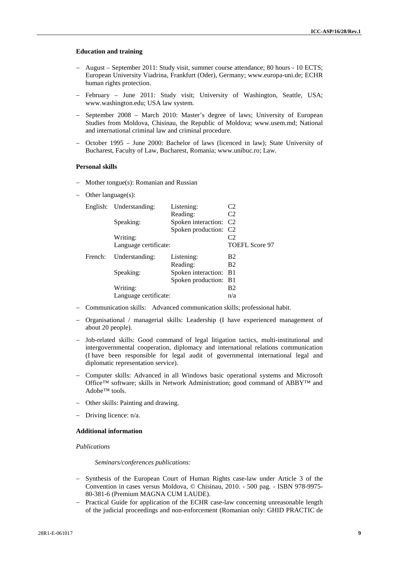#### **Education and training**

- August September 2011: Study visit, summer course attendance; 80 hours 10 ECTS; European University Viadrina, Frankfurt (Oder), Germany; www.europa-uni.de; ECHR human rights protection.
- February June 2011: Study visit; University of Washington, Seattle, USA; www.washington.edu; USA law system.
- September 2008 March 2010: Master's degree of laws; University of European Studies from Moldova, Chisinau, the Republic of Moldova; www.usem.md; National and international criminal law and criminal procedure.
- October 1995 June 2000: Bachelor of laws (licenced in law); State University of Bucharest, Faculty of Law, Bucharest, Romania; www.unibuc.ro; Law.

#### **Personal skills**

- Mother tongue(s): Romanian and Russian
- Other language(s):

|         | English: Understanding: | Listening:                         | C2                    |
|---------|-------------------------|------------------------------------|-----------------------|
|         |                         | Reading:                           | C <sub>2</sub>        |
|         | Speaking:               | Spoken interaction: C <sub>2</sub> |                       |
|         |                         | Spoken production: C2              |                       |
|         | Writing:                |                                    | C2                    |
|         | Language certificate:   |                                    | <b>TOEFL Score 97</b> |
| French: | Understanding:          | Listening:                         | B <sub>2</sub>        |
|         |                         | Reading:                           | B <sub>2</sub>        |
|         | Speaking:               | Spoken interaction: B1             |                       |
|         |                         | Spoken production: B1              |                       |
|         | Writing:                |                                    | B <sub>2</sub>        |
|         |                         |                                    |                       |

- Communication skills: Advanced communication skills; professional habit.
- Organisational / managerial skills: Leadership (I have experienced management of about 20 people).
- Job-related skills: Good command of legal litigation tactics, multi-institutional and intergovernmental cooperation, diplomacy and international relations communication (I have been responsible for legal audit of governmental international legal and diplomatic representation service).
- Computer skills: Advanced in all Windows basic operational systems and Microsoft Office™ software; skills in Network Administration; good command of ABBY™ and Adobe™ tools.
- Other skills: Painting and drawing.
- Driving licence: n/a.

#### **Additional information**

## *Publications*

*Seminars/conferences publications:*

- Synthesis of the European Court of Human Rights case-law under Article 3 of the Convention in cases versus Moldova, © Chisinau, 2010. - 500 pag. - ISBN 978-9975- 80-381-6 (Premium MAGNA CUM LAUDE).
- Practical Guide for application of the ECHR case-law concerning unreasonable length of the judicial proceedings and non-enforcement (Romanian only: GHID PRACTIC de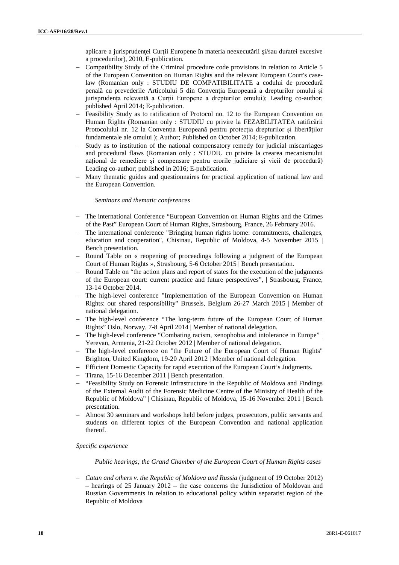aplicare a jurispruden ei Cur ii Europene în materia neexecut rii i/sau duratei excesive a procedurilor), 2010, E-publication.

- Compatibility Study of the Criminal procedure code provisions in relation to Article 5 of the European Convention on Human Rights and the relevant European Court's caselaw (Romanian only : STUDIU DE COMPATIBILITATE a codului de procedur penală cu prevederile Articolului 5 din Convenția Europeană a drepturilor omului și jurisprudența relevantă a Curții Europene a drepturilor omului); Leading co-author; published April 2014; E-publication.
- Feasibility Study as to ratification of Protocol no. 12 to the European Convention on Human Rights (Romanian only : STUDIU cu privire la FEZABILITATEA ratific rii Protocolului nr. 12 la Convenția Europeană pentru protecția drepturilor și libertăților fundamentale ale omului ); Author; Published on October 2014; E-publication.
- Study as to institution of the national compensatory remedy for judicial miscarriages and procedural flaws (Romanian only : STUDIU cu privire la crearea mecanismului național de remediere și compensare pentru erorile judiciare și vicii de procedur) Leading co-author; published in 2016; E-publication.
- Many thematic guides and questionnaires for practical application of national law and the European Convention.

#### *Seminars and thematic conferences*

- The international Conference "European Convention on Human Rights and the Crimes" of the Past" European Court of Human Rights, Strasbourg, France, 26 February 2016.
- The international conference "Bringing human rights home: commitments, challenges, education and cooperation", Chisinau, Republic of Moldova, 4-5 November 2015 | Bench presentation.
- Round Table on « reopening of proceedings following a judgment of the European Court of Human Rights », Strasbourg, 5-6 October 2015 | Bench presentation.
- Round Table on "the action plans and report of states for the execution of the judgments of the European court: current practice and future perspectives", | Strasbourg, France, 13-14 October 2014.
- The high-level conference "Implementation of the European Convention on Human Rights: our shared responsibility" Brussels, Belgium 26-27 March 2015 | Member of national delegation.
- The high-level conference "The long-term future of the European Court of Human Rights" Oslo, Norway, 7-8 April 2014 | Member of national delegation.
- The high-level conference "Combating racism, xenophobia and intolerance in Europe" | Yerevan, Armenia, 21-22 October 2012 | Member of national delegation.
- The high-level conference on "the Future of the European Court of Human Rights" Brighton, United Kingdom, 19-20 April 2012 | Member of national delegation.
- Efficient Domestic Capacity for rapid execution of the European Court's Judgments.
- Tirana, 15-16 December 2011 | Bench presentation.
- "Feasibility Study on Forensic Infrastructure in the Republic of Moldova and Findings of the External Audit of the Forensic Medicine Centre of the Ministry of Health of the Republic of Moldova" | Chisinau, Republic of Moldova, 15-16 November 2011 | Bench presentation.
- Almost 30 seminars and workshops held before judges, prosecutors, public servants and students on different topics of the European Convention and national application thereof.

#### *Specific experience*

#### *Public hearings; the Grand Chamber of the European Court of Human Rights cases*

 *Catan and others v. the Republic of Moldova and Russia* (judgment of 19 October 2012) – hearings of 25 January 2012 – the case concerns the Jurisdiction of Moldovan and Russian Governments in relation to educational policy within separatist region of the Republic of Moldova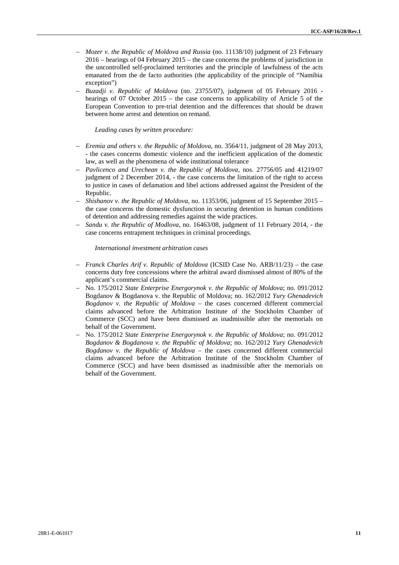- *Mozer v. the Republic of Moldova and Russia* (no. 11138/10) judgment of 23 February 2016 – hearings of 04 February 2015 – the case concerns the problems of jurisdiction in the uncontrolled self-proclaimed territories and the principle of lawfulness of the acts emanated from the de facto authorities (the applicability of the principle of "Namibia exception")
- *Buzadji v. Republic of Moldova* (no. 23755/07), judgment of 05 February 2016 hearings of 07 October 2015 – the case concerns to applicability of Article 5 of the European Convention to pre-trial detention and the differences that should be drawn between home arrest and detention on remand.

#### *Leading cases by written procedure:*

- *Eremia and others v. the Republic of Moldova*, no. 3564/11, judgment of 28 May 2013, - the cases concerns domestic violence and the inefficient application of the domestic law, as well as the phenomena of wide institutional tolerance
- *Pavlicenco and Urechean v. the Republic of Moldova*, nos. 27756/05 and 41219/07 judgment of 2 December 2014, - the case concerns the limitation of the right to access to justice in cases of defamation and libel actions addressed against the President of the Republic.
- *Shishanov v. the Republic of Moldova*, no. 11353/06, judgment of 15 September 2015 the case concerns the domestic dysfunction in securing detention in human conditions of detention and addressing remedies against the wide practices.
- *Sandu v. the Republic of Modlova*, no. 16463/08, judgment of 11 February 2014, the case concerns entrapment techniques in criminal proceedings.

#### *International investment arbitration cases*

- *Franck Charles Arif v. Republic of Moldova* (ICSID Case No. ARB/11/23) the case concerns duty free concessions where the arbitral award dismissed almost of 80% of the applicant's commercial claims.
- No. 175/2012 *State Enterprise Energorynok v. the Republic of Moldova*; no. 091/2012 Bogdanov & Bogdanova v. the Republic of Moldova; no. 162/2012 *Yury Ghenadevich Bogdanov v. the Republic of Moldova* – the cases concerned different commercial claims advanced before the Arbitration Institute of the Stockholm Chamber of Commerce (SCC) and have been dismissed as inadmissible after the memorials on behalf of the Government.
- No. 175/2012 *State Enterprise Energorynok v. the Republic of Moldova*; no. 091/2012 *Bogdanov & Bogdanova v. the Republic of Moldova*; no. 162/2012 *Yury Ghenadevich Bogdanov v. the Republic of Moldova* – the cases concerned different commercial claims advanced before the Arbitration Institute of the Stockholm Chamber of Commerce (SCC) and have been dismissed as inadmissible after the memorials on behalf of the Government.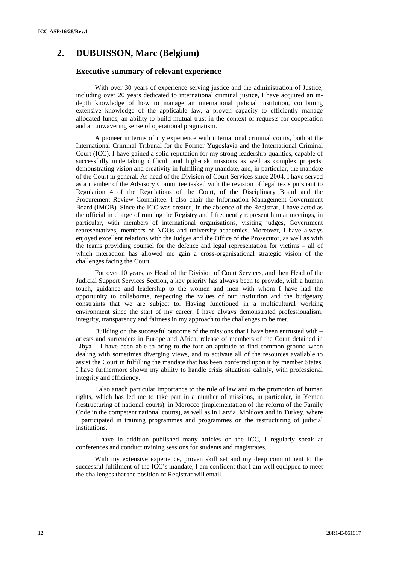# **2. DUBUISSON, Marc (Belgium)**

# **Executive summary of relevant experience**

With over 30 years of experience serving justice and the administration of Justice, including over 20 years dedicated to international criminal justice, I have acquired an in depth knowledge of how to manage an international judicial institution, combining extensive knowledge of the applicable law, a proven capacity to efficiently manage allocated funds, an ability to build mutual trust in the context of requests for cooperation and an unwavering sense of operational pragmatism.

A pioneer in terms of my experience with international criminal courts, both at the International Criminal Tribunal for the Former Yugoslavia and the International Criminal Court (ICC), I have gained a solid reputation for my strong leadership qualities, capable of successfully undertaking difficult and high-risk missions as well as complex projects, demonstrating vision and creativity in fulfilling my mandate, and, in particular, the mandate of the Court in general. As head of the Division of Court Services since 2004, I have served as a member of the Advisory Committee tasked with the revision of legal texts pursuant to Regulation 4 of the Regulations of the Court, of the Disciplinary Board and the Procurement Review Committee. I also chair the Information Management Government Board (IMGB). Since the ICC was created, in the absence of the Registrar, I have acted as the official in charge of running the Registry and I frequently represent him at meetings, in particular, with members of international organisations, visiting judges, Government representatives, members of NGOs and university academics. Moreover, I have always enjoyed excellent relations with the Judges and the Office of the Prosecutor, as well as with the teams providing counsel for the defence and legal representation for victims – all of which interaction has allowed me gain a cross-organisational strategic vision of the challenges facing the Court.

For over 10 years, as Head of the Division of Court Services, and then Head of the Judicial Support Services Section, a key priority has always been to provide, with a human touch, guidance and leadership to the women and men with whom I have had the opportunity to collaborate, respecting the values of our institution and the budgetary constraints that we are subject to. Having functioned in a multicultural working environment since the start of my career, I have always demonstrated professionalism, integrity, transparency and fairness in my approach to the challenges to be met.

Building on the successful outcome of the missions that I have been entrusted with – arrests and surrenders in Europe and Africa, release of members of the Court detained in Libya  $-1$  have been able to bring to the fore an aptitude to find common ground when dealing with sometimes diverging views, and to activate all of the resources available to assist the Court in fulfilling the mandate that has been conferred upon it by member States. I have furthermore shown my ability to handle crisis situations calmly, with professional integrity and efficiency.

I also attach particular importance to the rule of law and to the promotion of human rights, which has led me to take part in a number of missions, in particular, in Yemen (restructuring of national courts), in Morocco (implementation of the reform of the Family Code in the competent national courts), as well as in Latvia, Moldova and in Turkey, where I participated in training programmes and programmes on the restructuring of judicial institutions.

I have in addition published many articles on the ICC, I regularly speak at conferences and conduct training sessions for students and magistrates.

With my extensive experience, proven skill set and my deep commitment to the successful fulfilment of the ICC's mandate, I am confident that I am well equipped to meet the challenges that the position of Registrar will entail.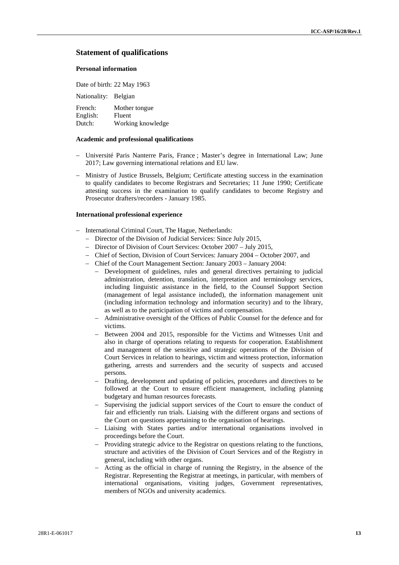## **Statement of qualifications**

#### **Personal information**

Date of birth: 22 May 1963

Nationality: Belgian French: Mother tongue English: Fluent

Dutch: Working knowledge

#### **Academic and professional qualifications**

- Université Paris Nanterre Paris, France ; Master's degree in International Law; June 2017; Law governing international relations and EU law.
- Ministry of Justice Brussels, Belgium; Certificate attesting success in the examination to qualify candidates to become Registrars and Secretaries; 11 June 1990; Certificate attesting success in the examination to qualify candidates to become Registry and Prosecutor drafters/recorders - January 1985.

#### **International professional experience**

- International Criminal Court, The Hague, Netherlands:
	- Director of the Division of Judicial Services: Since July 2015,
	- Director of Division of Court Services: October 2007 July 2015,
	- Chief of Section, Division of Court Services: January 2004 October 2007, and
	- Chief of the Court Management Section: January 2003 January 2004:
		- Development of guidelines, rules and general directives pertaining to judicial administration, detention, translation, interpretation and terminology services, including linguistic assistance in the field, to the Counsel Support Section (management of legal assistance included), the information management unit (including information technology and information security) and to the library, as well as to the participation of victims and compensation.
		- Administrative oversight of the Offices of Public Counsel for the defence and for victims.
		- Between 2004 and 2015, responsible for the Victims and Witnesses Unit and also in charge of operations relating to requests for cooperation. Establishment and management of the sensitive and strategic operations of the Division of Court Services in relation to hearings, victim and witness protection, information gathering, arrests and surrenders and the security of suspects and accused persons.
		- Drafting, development and updating of policies, procedures and directives to be followed at the Court to ensure efficient management, including planning budgetary and human resources forecasts.
		- Supervising the judicial support services of the Court to ensure the conduct of fair and efficiently run trials. Liaising with the different organs and sections of the Court on questions appertaining to the organisation of hearings.
		- Liaising with States parties and/or international organisations involved in proceedings before the Court.
		- Providing strategic advice to the Registrar on questions relating to the functions, structure and activities of the Division of Court Services and of the Registry in general, including with other organs.
		- Acting as the official in charge of running the Registry, in the absence of the Registrar. Representing the Registrar at meetings, in particular, with members of international organisations, visiting judges, Government representatives, members of NGOs and university academics.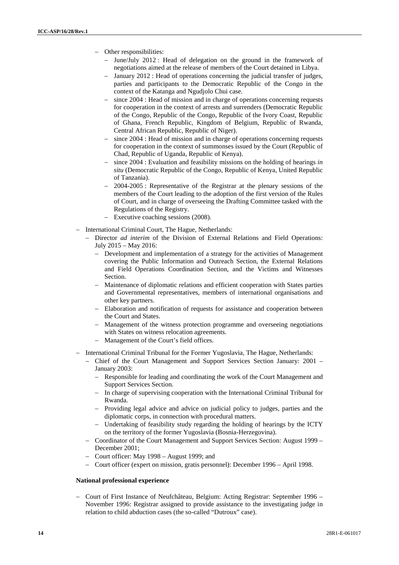- Other responsibilities:
	- June/July 2012 : Head of delegation on the ground in the framework of negotiations aimed at the release of members of the Court detained in Libya.
	- January 2012 : Head of operations concerning the judicial transfer of judges, parties and participants to the Democratic Republic of the Congo in the context of the Katanga and Ngudjolo Chui case.
	- since 2004 : Head of mission and in charge of operations concerning requests for cooperation in the context of arrests and surrenders (Democratic Republic of the Congo, Republic of the Congo, Republic of the Ivory Coast, Republic of Ghana, French Republic, Kingdom of Belgium, Republic of Rwanda, Central African Republic, Republic of Niger).
	- since 2004 : Head of mission and in charge of operations concerning requests for cooperation in the context of summonses issued by the Court (Republic of Chad, Republic of Uganda, Republic of Kenya).
	- since 2004 : Evaluation and feasibility missions on the holding of hearings *in situ* (Democratic Republic of the Congo, Republic of Kenya, United Republic of Tanzania).
	- 2004-2005 : Representative of the Registrar at the plenary sessions of the members of the Court leading to the adoption of the first version of the Rules of Court, and in charge of overseeing the Drafting Committee tasked with the Regulations of the Registry.
	- Executive coaching sessions (2008).
- International Criminal Court, The Hague, Netherlands:
	- Director *ad interim* of the Division of External Relations and Field Operations: July 2015 – May 2016:
		- Development and implementation of a strategy for the activities of Management covering the Public Information and Outreach Section, the External Relations and Field Operations Coordination Section, and the Victims and Witnesses Section.
		- Maintenance of diplomatic relations and efficient cooperation with States parties and Governmental representatives, members of international organisations and other key partners.
		- Elaboration and notification of requests for assistance and cooperation between the Court and States.
		- Management of the witness protection programme and overseeing negotiations with States on witness relocation agreements.
		- Management of the Court's field offices.
- International Criminal Tribunal for the Former Yugoslavia, The Hague, Netherlands:
	- Chief of the Court Management and Support Services Section January: 2001 January 2003:
		- Responsible for leading and coordinating the work of the Court Management and Support Services Section.
		- In charge of supervising cooperation with the International Criminal Tribunal for Rwanda.
		- Providing legal advice and advice on judicial policy to judges, parties and the diplomatic corps, in connection with procedural matters.
		- Undertaking of feasibility study regarding the holding of hearings by the ICTY on the territory of the former Yugoslavia (Bosnia-Herzegovina).
	- Coordinator of the Court Management and Support Services Section: August 1999 December 2001;
	- Court officer: May 1998 August 1999; and
	- Court officer (expert on mission, gratis personnel): December 1996 April 1998.

## **National professional experience**

 Court of First Instance of Neufchâteau, Belgium: Acting Registrar: September 1996 – November 1996: Registrar assigned to provide assistance to the investigating judge in relation to child abduction cases (the so-called "Dutroux" case).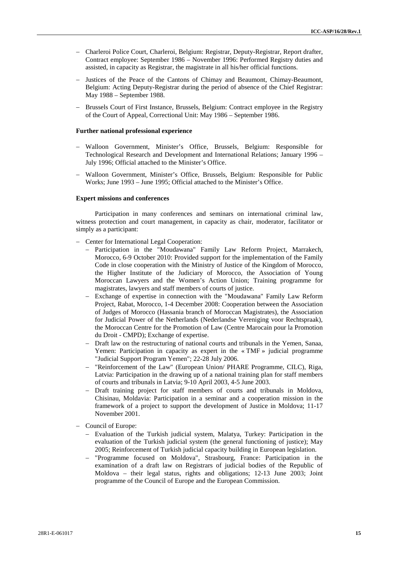- Charleroi Police Court, Charleroi, Belgium: Registrar, Deputy-Registrar, Report drafter, Contract employee: September 1986 – November 1996: Performed Registry duties and assisted, in capacity as Registrar, the magistrate in all his/her official functions.
- Justices of the Peace of the Cantons of Chimay and Beaumont, Chimay-Beaumont, Belgium: Acting Deputy-Registrar during the period of absence of the Chief Registrar: May 1988 – September 1988.
- Brussels Court of First Instance, Brussels, Belgium: Contract employee in the Registry of the Court of Appeal, Correctional Unit: May 1986 – September 1986.

#### **Further national professional experience**

- Walloon Government, Minister's Office, Brussels, Belgium: Responsible for Technological Research and Development and International Relations; January 1996 – July 1996; Official attached to the Minister's Office.
- Walloon Government, Minister's Office, Brussels, Belgium: Responsible for Public Works; June 1993 – June 1995; Official attached to the Minister's Office.

#### **Expert missions and conferences**

Participation in many conferences and seminars on international criminal law, witness protection and court management, in capacity as chair, moderator, facilitator or simply as a participant:

- Center for International Legal Cooperation:
	- Participation in the "Moudawana" Family Law Reform Project, Marrakech, Morocco, 6-9 October 2010: Provided support for the implementation of the Family Code in close cooperation with the Ministry of Justice of the Kingdom of Morocco, the Higher Institute of the Judiciary of Morocco, the Association of Young Moroccan Lawyers and the Women's Action Union; Training programme for magistrates, lawyers and staff members of courts of justice.
	- Exchange of expertise in connection with the "Moudawana" Family Law Reform Project, Rabat, Morocco, 1-4 December 2008: Cooperation between the Association of Judges of Morocco (Hassania branch of Moroccan Magistrates), the Association for Judicial Power of the Netherlands (Nederlandse Vereniging voor Rechtspraak), the Moroccan Centre for the Promotion of Law (Centre Marocain pour la Promotion du Droit - CMPD); Exchange of expertise.
	- Draft law on the restructuring of national courts and tribunals in the Yemen, Sanaa, Yemen: Participation in capacity as expert in the « TMF » judicial programme "Judicial Support Program Yemen"; 22-28 July 2006.
	- "Reinforcement of the Law" (European Union/ PHARE Programme, CILC), Riga, Latvia: Participation in the drawing up of a national training plan for staff members of courts and tribunals in Latvia; 9-10 April 2003, 4-5 June 2003.
	- Draft training project for staff members of courts and tribunals in Moldova, Chisinau, Moldavia: Participation in a seminar and a cooperation mission in the framework of a project to support the development of Justice in Moldova; 11-17 November 2001.
- Council of Europe:
	- Evaluation of the Turkish judicial system, Malatya, Turkey: Participation in the evaluation of the Turkish judicial system (the general functioning of justice); May 2005; Reinforcement of Turkish judicial capacity building in European legislation.
	- "Programme focused on Moldova", Strasbourg, France: Participation in the examination of a draft law on Registrars of judicial bodies of the Republic of Moldova – their legal status, rights and obligations; 12-13 June 2003; Joint programme of the Council of Europe and the European Commission.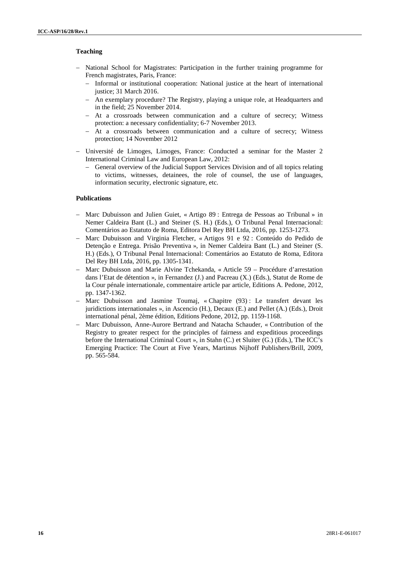# **Teaching**

- National School for Magistrates: Participation in the further training programme for French magistrates, Paris, France:
	- Informal or institutional cooperation: National justice at the heart of international justice; 31 March 2016.
	- An exemplary procedure? The Registry, playing a unique role, at Headquarters and in the field; 25 November 2014.
	- At a crossroads between communication and a culture of secrecy; Witness protection: a necessary confidentiality; 6-7 November 2013.
	- At a crossroads between communication and a culture of secrecy; Witness protection; 14 November 2012
- Université de Limoges, Limoges, France: Conducted a seminar for the Master 2 International Criminal Law and European Law, 2012:
	- General overview of the Judicial Support Services Division and of all topics relating to victims, witnesses, detainees, the role of counsel, the use of languages, information security, electronic signature, etc.

### **Publications**

- Marc Dubuisson and Julien Guiet, « Artigo 89 : Entrega de Pessoas ao Tribunal » in Nemer Caldeira Bant (L.) and Steiner (S. H.) (Eds.), O Tribunal Penal Internacional: Comentários ao Estatuto de Roma, Editora Del Rey BH Ltda, 2016, pp. 1253-1273.
- Marc Dubuisson and Virginia Fletcher, « Artigos 91 e 92 : Conteúdo do Pedido de Detenção e Entrega. Prisão Preventiva », in Nemer Caldeira Bant (L.) and Steiner (S. H.) (Eds.), O Tribunal Penal Internacional: Comentários ao Estatuto de Roma, Editora Del Rey BH Ltda, 2016, pp. 1305-1341.
- Marc Dubuisson and Marie Alvine Tchekanda, « Article 59 Procédure d'arrestation dans l'Etat de détention », in Fernandez (J.) and Pacreau (X.) (Eds.), Statut de Rome de la Cour pénale internationale, commentaire article par article, Editions A. Pedone, 2012, pp. 1347-1362.
- Marc Dubuisson and Jasmine Toumaj, « Chapitre (93) : Le transfert devant les juridictions internationales », in Ascencio (H.), Decaux (E.) and Pellet (A.) (Eds.), Droit international pénal, 2ème édition, Editions Pedone, 2012, pp. 1159-1168.
- Marc Dubuisson, Anne-Aurore Bertrand and Natacha Schauder, « Contribution of the Registry to greater respect for the principles of fairness and expeditious proceedings before the International Criminal Court », in Stahn (C.) et Sluiter (G.) (Eds.), The ICC's Emerging Practice: The Court at Five Years, Martinus Nijhoff Publishers/Brill, 2009, pp. 565-584.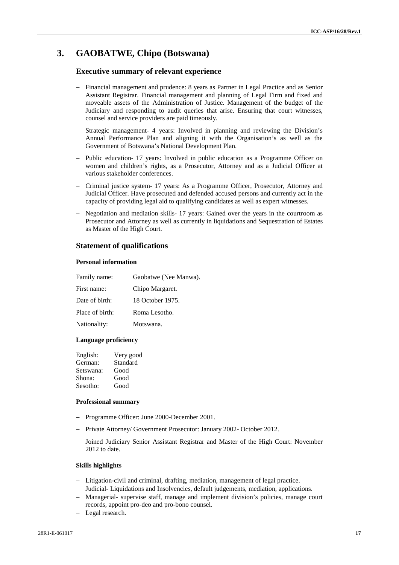# **3. GAOBATWE, Chipo (Botswana)**

# **Executive summary of relevant experience**

- Financial management and prudence: 8 years as Partner in Legal Practice and as Senior Assistant Registrar. Financial management and planning of Legal Firm and fixed and moveable assets of the Administration of Justice. Management of the budget of the Judiciary and responding to audit queries that arise. Ensuring that court witnesses, counsel and service providers are paid timeously.
- Strategic management- 4 years: Involved in planning and reviewing the Division's Annual Performance Plan and aligning it with the Organisation's as well as the Government of Botswana's National Development Plan.
- Public education- 17 years: Involved in public education as a Programme Officer on women and children's rights, as a Prosecutor, Attorney and as a Judicial Officer at various stakeholder conferences.
- Criminal justice system- 17 years: As a Programme Officer, Prosecutor, Attorney and Judicial Officer. Have prosecuted and defended accused persons and currently act in the capacity of providing legal aid to qualifying candidates as well as expert witnesses.
- Negotiation and mediation skills- 17 years: Gained over the years in the courtroom as Prosecutor and Attorney as well as currently in liquidations and Sequestration of Estates as Master of the High Court.

# **Statement of qualifications**

# **Personal information**

| Gaobatwe (Nee Manwa). |
|-----------------------|
| Chipo Margaret.       |
| 18 October 1975.      |
| Roma Lesotho.         |
| Motswana.             |
|                       |

#### **Language proficiency**

| English:  | Very good |
|-----------|-----------|
| German:   | Standard  |
| Setswana: | Good      |
| Shona:    | Good      |
| Sesotho:  | Good      |

#### **Professional summary**

- Programme Officer: June 2000-December 2001.
- Private Attorney/ Government Prosecutor: January 2002- October 2012.
- Joined Judiciary Senior Assistant Registrar and Master of the High Court: November 2012 to date.

# **Skills highlights**

- Litigation-civil and criminal, drafting, mediation, management of legal practice.
- Judicial- Liquidations and Insolvencies, default judgements, mediation, applications.
- Managerial- supervise staff, manage and implement division's policies, manage court records, appoint pro-deo and pro-bono counsel.
- Legal research.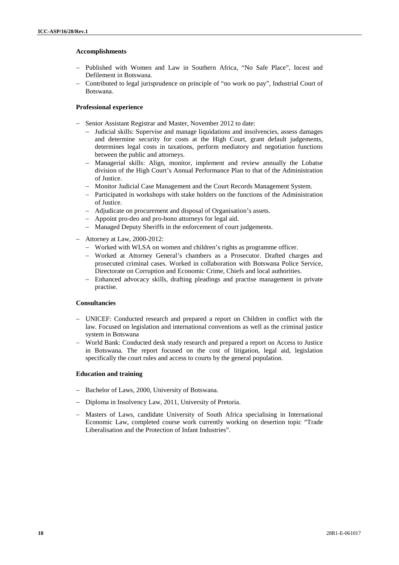### **Accomplishments**

- Published with Women and Law in Southern Africa, "No Safe Place", Incest and Defilement in Botswana.
- Contributed to legal jurisprudence on principle of "no work no pay", Industrial Court of Botswana.

## **Professional experience**

- Senior Assistant Registrar and Master, November 2012 to date:
	- Judicial skills: Supervise and manage liquidations and insolvencies, assess damages and determine security for costs at the High Court, grant default judgements, determines legal costs in taxations, perform mediatory and negotiation functions between the public and attorneys.
	- Managerial skills: Align, monitor, implement and review annually the Lobatse division of the High Court's Annual Performance Plan to that of the Administration of Justice.
	- Monitor Judicial Case Management and the Court Records Management System.
	- Participated in workshops with stake holders on the functions of the Administration of Justice.
	- Adjudicate on procurement and disposal of Organisation's assets.
	- Appoint pro-deo and pro-bono attorneys for legal aid.
	- Managed Deputy Sheriffs in the enforcement of court judgements.
- Attorney at Law, 2000-2012:
	- Worked with WLSA on women and children's rights as programme officer.
	- Worked at Attorney General's chambers as a Prosecutor. Drafted charges and prosecuted criminal cases. Worked in collaboration with Botswana Police Service, Directorate on Corruption and Economic Crime, Chiefs and local authorities.
	- Enhanced advocacy skills, drafting pleadings and practise management in private practise.

#### **Consultancies**

- UNICEF: Conducted research and prepared a report on Children in conflict with the law. Focused on legislation and international conventions as well as the criminal justice system in Botswana
- World Bank: Conducted desk study research and prepared a report on Access to Justice in Botswana. The report focused on the cost of litigation, legal aid, legislation specifically the court rules and access to courts by the general population.

#### **Education and training**

- Bachelor of Laws, 2000, University of Botswana.
- Diploma in Insolvency Law, 2011, University of Pretoria.
- Masters of Laws, candidate University of South Africa specialising in International Economic Law, completed course work currently working on desertion topic "Trade Liberalisation and the Protection of Infant Industries".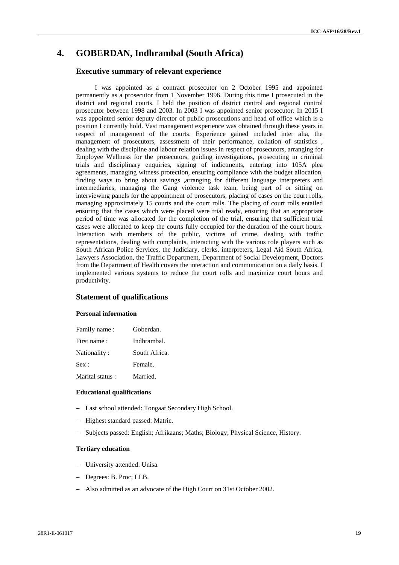# **4. GOBERDAN, Indhrambal (South Africa)**

# **Executive summary of relevant experience**

I was appointed as a contract prosecutor on 2 October 1995 and appointed permanently as a prosecutor from 1 November 1996. During this time I prosecuted in the district and regional courts. I held the position of district control and regional control prosecutor between 1998 and 2003. In 2003 I was appointed senior prosecutor. In 2015 I was appointed senior deputy director of public prosecutions and head of office which is a position I currently hold. Vast management experience was obtained through these years in respect of management of the courts. Experience gained included inter alia, the management of prosecutors, assessment of their performance, collation of statistics , dealing with the discipline and labour relation issues in respect of prosecutors, arranging for Employee Wellness for the prosecutors, guiding investigations, prosecuting in criminal trials and disciplinary enquiries, signing of indictments, entering into 105A plea agreements, managing witness protection, ensuring compliance with the budget allocation, finding ways to bring about savings ,arranging for different language interpreters and intermediaries, managing the Gang violence task team, being part of or sitting on interviewing panels for the appointment of prosecutors, placing of cases on the court rolls, managing approximately 15 courts and the court rolls. The placing of court rolls entailed ensuring that the cases which were placed were trial ready, ensuring that an appropriate period of time was allocated for the completion of the trial, ensuring that sufficient trial cases were allocated to keep the courts fully occupied for the duration of the court hours. Interaction with members of the public, victims of crime, dealing with traffic representations, dealing with complaints, interacting with the various role players such as South African Police Services, the Judiciary, clerks, interpreters, Legal Aid South Africa, Lawyers Association, the Traffic Department, Department of Social Development, Doctors from the Department of Health covers the interaction and communication on a daily basis. I implemented various systems to reduce the court rolls and maximize court hours and productivity.

# **Statement of qualifications**

#### **Personal information**

| Family name:    | Goberdan.     |
|-----------------|---------------|
| First name:     | Indhrambal.   |
| Nationality:    | South Africa. |
| Sex:            | Female.       |
| Marital status: | Married.      |

#### **Educational qualifications**

- Last school attended: Tongaat Secondary High School.
- Highest standard passed: Matric.
- Subjects passed: English; Afrikaans; Maths; Biology; Physical Science, History.

## **Tertiary education**

- University attended: Unisa.
- Degrees: B. Proc; LLB.
- Also admitted as an advocate of the High Court on 31st October 2002.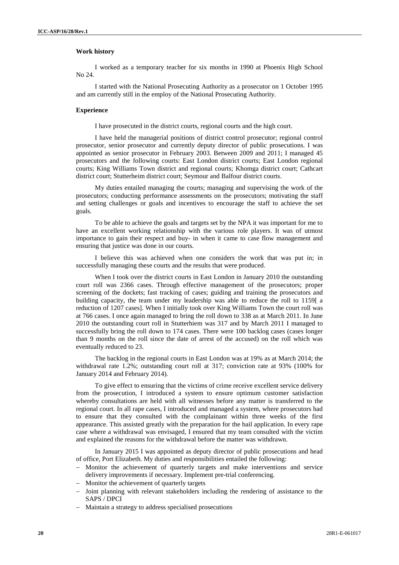#### **Work history**

I worked as a temporary teacher for six months in 1990 at Phoenix High School No 24.<br>I started with the National Prosecuting Authority as a prosecutor on 1 October 1995

and am currently still in the employ of the National Prosecuting Authority.

#### **Experience**

I have prosecuted in the district courts, regional courts and the high court.

I have held the managerial positions of district control prosecutor; regional control prosecutor, senior prosecutor and currently deputy director of public prosecutions. I was appointed as senior prosecutor in February 2003. Between 2009 and 2011; I managed 45 prosecutors and the following courts: East London district courts; East London regional courts; King Williams Town district and regional courts; Khomga district court; Cathcart district court; Stutterheim district court; Seymour and Balfour district courts.

My duties entailed managing the courts; managing and supervising the work of the prosecutors; conducting performance assessments on the prosecutors; motivating the staff and setting challenges or goals and incentives to encourage the staff to achieve the set goals.

To be able to achieve the goals and targets set by the NPA it was important for me to have an excellent working relationship with the various role players. It was of utmost importance to gain their respect and buy- in when it came to case flow management and ensuring that justice was done in our courts.

I believe this was achieved when one considers the work that was put in; in successfully managing these courts and the results that were produced.

When I took over the district courts in East London in January 2010 the outstanding court roll was 2366 cases. Through effective management of the prosecutors; proper screening of the dockets; fast tracking of cases; guiding and training the prosecutors and building capacity, the team under my leadership was able to reduce the roll to 1159[ a reduction of 1207 cases]. When I initially took over King Williams Town the court roll was at 766 cases. I once again managed to bring the roll down to 338 as at March 2011. In June 2010 the outstanding court roll in Stutterhiem was 317 and by March 2011 I managed to successfully bring the roll down to 174 cases. There were 100 backlog cases (cases longer than 9 months on the roll since the date of arrest of the accused) on the roll which was eventually reduced to 23.

The backlog in the regional courts in East London was at 19% as at March 2014; the withdrawal rate 1.2%; outstanding court roll at 317; conviction rate at 93% (100% for January 2014 and February 2014).

To give effect to ensuring that the victims of crime receive excellent service delivery from the prosecution, I introduced a system to ensure optimum customer satisfaction whereby consultations are held with all witnesses before any matter is transferred to the regional court. In all rape cases, I introduced and managed a system, where prosecutors had to ensure that they consulted with the complainant within three weeks of the first appearance. This assisted greatly with the preparation for the bail application. In every rape case where a withdrawal was envisaged, I ensured that my team consulted with the victim and explained the reasons for the withdrawal before the matter was withdrawn.

In January 2015 I was appointed as deputy director of public prosecutions and head of office, Port Elizabeth. My duties and responsibilities entailed the following:

- Monitor the achievement of quarterly targets and make interventions and service delivery improvements if necessary. Implement pre-trial conferencing.
- Monitor the achievement of quarterly targets
- $-$  Joint planning with relevant stakeholders including the rendering of assistance to the SAPS / DPCI
- Maintain a strategy to address specialised prosecutions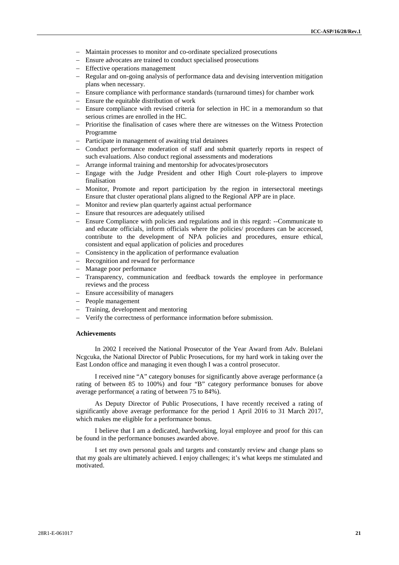- Maintain processes to monitor and co-ordinate specialized prosecutions
- Ensure advocates are trained to conduct specialised prosecutions
- Effective operations management
- Regular and on-going analysis of performance data and devising intervention mitigation plans when necessary.
- Ensure compliance with performance standards (turnaround times) for chamber work
- $\overline{-}$  Ensure the equitable distribution of work
- Ensure compliance with revised criteria for selection in HC in a memorandum so that serious crimes are enrolled in the HC.
- Prioritise the finalisation of cases where there are witnesses on the Witness Protection Programme
- Participate in management of awaiting trial detainees
- Conduct performance moderation of staff and submit quarterly reports in respect of such evaluations. Also conduct regional assessments and moderations
- Arrange informal training and mentorship for advocates/prosecutors
- Engage with the Judge President and other High Court role-players to improve finalisation
- Monitor, Promote and report participation by the region in intersectoral meetings Ensure that cluster operational plans aligned to the Regional APP are in place.
- Monitor and review plan quarterly against actual performance
- Ensure that resources are adequately utilised
- Ensure Compliance with policies and regulations and in this regard: --Communicate to and educate officials, inform officials where the policies/ procedures can be accessed, contribute to the development of NPA policies and procedures, ensure ethical, consistent and equal application of policies and procedures
- Consistency in the application of performance evaluation
- Recognition and reward for performance
- Manage poor performance
- Transparency, communication and feedback towards the employee in performance reviews and the process
- Ensure accessibility of managers
- People management
- Training, development and mentoring
- Verify the correctness of performance information before submission.

# **Achievements**

In 2002 I received the National Prosecutor of the Year Award from Adv. Bulelani Ncgcuka, the National Director of Public Prosecutions, for my hard work in taking over the East London office and managing it even though I was a control prosecutor.

I received nine "A" category bonuses for significantly above average performance (a rating of between 85 to 100%) and four "B" category performance bonuses for above average performance( a rating of between 75 to 84%).

As Deputy Director of Public Prosecutions, I have recently received a rating of significantly above average performance for the period 1 April 2016 to 31 March 2017, which makes me eligible for a performance bonus.

I believe that I am a dedicated, hardworking, loyal employee and proof for this can be found in the performance bonuses awarded above.

I set my own personal goals and targets and constantly review and change plans so that my goals are ultimately achieved. I enjoy challenges; it's what keeps me stimulated and motivated.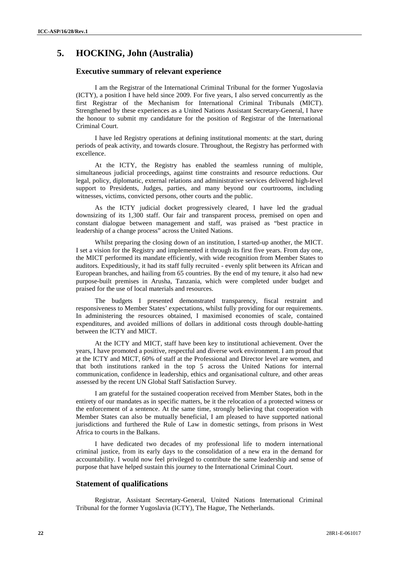# **5. HOCKING, John (Australia)**

### **Executive summary of relevant experience**

I am the Registrar of the International Criminal Tribunal for the former Yugoslavia (ICTY), a position I have held since 2009. For five years, I also served concurrently as the first Registrar of the Mechanism for International Criminal Tribunals (MICT). Strengthened by these experiences as a United Nations Assistant Secretary-General, I have the honour to submit my candidature for the position of Registrar of the International Criminal Court.

I have led Registry operations at defining institutional moments: at the start, during periods of peak activity, and towards closure. Throughout, the Registry has performed with excellence.

At the ICTY, the Registry has enabled the seamless running of multiple, simultaneous judicial proceedings, against time constraints and resource reductions. Our legal, policy, diplomatic, external relations and administrative services delivered high-level support to Presidents, Judges, parties, and many beyond our courtrooms, including witnesses, victims, convicted persons, other courts and the public.

As the ICTY judicial docket progressively cleared, I have led the gradual downsizing of its 1,300 staff. Our fair and transparent process, premised on open and constant dialogue between management and staff, was praised as "best practice in leadership of a change process" across the United Nations.

Whilst preparing the closing down of an institution, I started-up another, the MICT. I set a vision for the Registry and implemented it through its first five years. From day one, the MICT performed its mandate efficiently, with wide recognition from Member States to auditors. Expeditiously, it had its staff fully recruited - evenly split between its African and European branches, and hailing from 65 countries. By the end of my tenure, it also had new purpose-built premises in Arusha, Tanzania, which were completed under budget and praised for the use of local materials and resources.

The budgets I presented demonstrated transparency, fiscal restraint and responsiveness to Member States' expectations, whilst fully providing for our requirements. In administering the resources obtained, I maximised economies of scale, contained expenditures, and avoided millions of dollars in additional costs through double-hatting between the ICTY and MICT.

At the ICTY and MICT, staff have been key to institutional achievement. Over the years, I have promoted a positive, respectful and diverse work environment. I am proud that at the ICTY and MICT, 60% of staff at the Professional and Director level are women, and that both institutions ranked in the top 5 across the United Nations for internal communication, confidence in leadership, ethics and organisational culture, and other areas assessed by the recent UN Global Staff Satisfaction Survey.

I am grateful for the sustained cooperation received from Member States, both in the entirety of our mandates as in specific matters, be it the relocation of a protected witness or the enforcement of a sentence. At the same time, strongly believing that cooperation with Member States can also be mutually beneficial, I am pleased to have supported national jurisdictions and furthered the Rule of Law in domestic settings, from prisons in West Africa to courts in the Balkans.

I have dedicated two decades of my professional life to modern international criminal justice, from its early days to the consolidation of a new era in the demand for accountability. I would now feel privileged to contribute the same leadership and sense of purpose that have helped sustain this journey to the International Criminal Court.

### **Statement of qualifications**

Registrar, Assistant Secretary-General, United Nations International Criminal Tribunal for the former Yugoslavia (ICTY), The Hague, The Netherlands.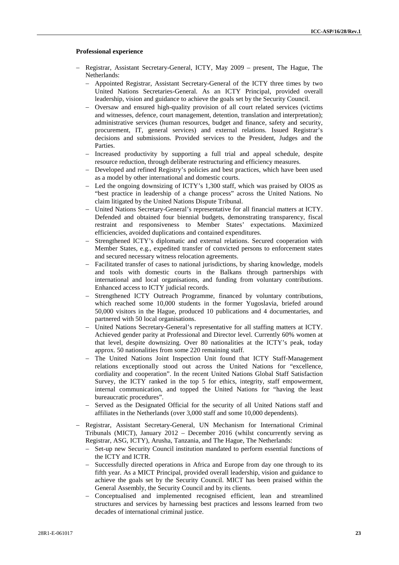#### **Professional experience**

- Registrar, Assistant Secretary-General, ICTY, May 2009 present, The Hague, The Netherlands:
	- Appointed Registrar, Assistant Secretary-General of the ICTY three times by two United Nations Secretaries-General. As an ICTY Principal, provided overall leadership, vision and guidance to achieve the goals set by the Security Council.
	- Oversaw and ensured high-quality provision of all court related services (victims and witnesses, defence, court management, detention, translation and interpretation); administrative services (human resources, budget and finance, safety and security, procurement, IT, general services) and external relations. Issued Registrar's decisions and submissions. Provided services to the President, Judges and the Parties.
	- Increased productivity by supporting a full trial and appeal schedule, despite resource reduction, through deliberate restructuring and efficiency measures.
	- Developed and refined Registry's policies and best practices, which have been used as a model by other international and domestic courts.
	- Led the ongoing downsizing of ICTY's 1,300 staff, which was praised by OIOS as "best practice in leadership of a change process" across the United Nations. No claim litigated by the United Nations Dispute Tribunal.
	- United Nations Secretary-General's representative for all financial matters at ICTY. Defended and obtained four biennial budgets, demonstrating transparency, fiscal restraint and responsiveness to Member States' expectations. Maximized efficiencies, avoided duplications and contained expenditures.
	- Strengthened ICTY's diplomatic and external relations. Secured cooperation with Member States, e.g., expedited transfer of convicted persons to enforcement states and secured necessary witness relocation agreements.
	- Facilitated transfer of cases to national jurisdictions, by sharing knowledge, models and tools with domestic courts in the Balkans through partnerships with international and local organisations, and funding from voluntary contributions. Enhanced access to ICTY judicial records.
	- Strengthened ICTY Outreach Programme, financed by voluntary contributions, which reached some 10,000 students in the former Yugoslavia, briefed around 50,000 visitors in the Hague, produced 10 publications and 4 documentaries, and partnered with 50 local organisations.
	- United Nations Secretary-General's representative for all staffing matters at ICTY. Achieved gender parity at Professional and Director level. Currently 60% women at that level, despite downsizing. Over 80 nationalities at the ICTY's peak, today approx. 50 nationalities from some 220 remaining staff.
	- The United Nations Joint Inspection Unit found that ICTY Staff-Management relations exceptionally stood out across the United Nations for "excellence, cordiality and cooperation". In the recent United Nations Global Staff Satisfaction Survey, the ICTY ranked in the top 5 for ethics, integrity, staff empowerment, internal communication, and topped the United Nations for "having the least bureaucratic procedures".
	- Served as the Designated Official for the security of all United Nations staff and affiliates in the Netherlands (over 3,000 staff and some 10,000 dependents).
- Registrar, Assistant Secretary-General, UN Mechanism for International Criminal Tribunals (MICT), January 2012 – December 2016 (whilst concurrently serving as Registrar, ASG, ICTY), Arusha, Tanzania, and The Hague, The Netherlands:
	- Set-up new Security Council institution mandated to perform essential functions of the ICTY and ICTR.
	- Successfully directed operations in Africa and Europe from day one through to its fifth year. As a MICT Principal, provided overall leadership, vision and guidance to achieve the goals set by the Security Council. MICT has been praised within the General Assembly, the Security Council and by its clients.
	- Conceptualised and implemented recognised efficient, lean and streamlined structures and services by harnessing best practices and lessons learned from two decades of international criminal justice.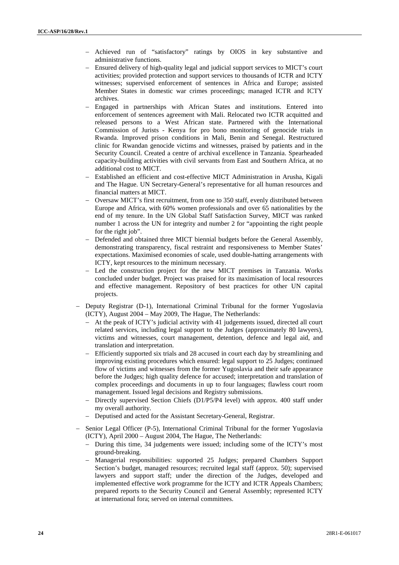- Achieved run of "satisfactory" ratings by OIOS in key substantive and administrative functions.
- Ensured delivery of high-quality legal and judicial support services to MICT's court activities; provided protection and support services to thousands of ICTR and ICTY witnesses; supervised enforcement of sentences in Africa and Europe; assisted Member States in domestic war crimes proceedings; managed ICTR and ICTY archives.
- Engaged in partnerships with African States and institutions. Entered into enforcement of sentences agreement with Mali. Relocated two ICTR acquitted and released persons to a West African state. Partnered with the International Commission of Jurists - Kenya for pro bono monitoring of genocide trials in Rwanda. Improved prison conditions in Mali, Benin and Senegal. Restructured clinic for Rwandan genocide victims and witnesses, praised by patients and in the Security Council. Created a centre of archival excellence in Tanzania. Spearheaded capacity-building activities with civil servants from East and Southern Africa, at no additional cost to MICT.
- Established an efficient and cost-effective MICT Administration in Arusha, Kigali and The Hague. UN Secretary-General's representative for all human resources and financial matters at MICT.
- Oversaw MICT's first recruitment, from one to 350 staff, evenly distributed between Europe and Africa, with 60% women professionals and over 65 nationalities by the end of my tenure. In the UN Global Staff Satisfaction Survey, MICT was ranked number 1 across the UN for integrity and number 2 for "appointing the right people for the right job".
- Defended and obtained three MICT biennial budgets before the General Assembly, demonstrating transparency, fiscal restraint and responsiveness to Member States' expectations. Maximised economies of scale, used double-hatting arrangements with ICTY, kept resources to the minimum necessary.
- Led the construction project for the new MICT premises in Tanzania. Works concluded under budget. Project was praised for its maximisation of local resources and effective management. Repository of best practices for other UN capital projects.
- Deputy Registrar (D-1), International Criminal Tribunal for the former Yugoslavia (ICTY), August 2004 – May 2009, The Hague, The Netherlands:
	- At the peak of ICTY's judicial activity with 41 judgements issued, directed all court related services, including legal support to the Judges (approximately 80 lawyers), victims and witnesses, court management, detention, defence and legal aid, and translation and interpretation.
	- Efficiently supported six trials and 28 accused in court each day by streamlining and improving existing procedures which ensured: legal support to 25 Judges; continued flow of victims and witnesses from the former Yugoslavia and their safe appearance before the Judges; high quality defence for accused; interpretation and translation of complex proceedings and documents in up to four languages; flawless court room management. Issued legal decisions and Registry submissions.
	- Directly supervised Section Chiefs (D1/P5/P4 level) with approx. 400 staff under my overall authority.
	- Deputised and acted for the Assistant Secretary-General, Registrar.
- Senior Legal Officer (P-5), International Criminal Tribunal for the former Yugoslavia (ICTY), April 2000 – August 2004, The Hague, The Netherlands:
	- During this time, 34 judgements were issued; including some of the ICTY's most ground-breaking.
	- Managerial responsibilities: supported 25 Judges; prepared Chambers Support Section's budget, managed resources; recruited legal staff (approx. 50); supervised lawyers and support staff; under the direction of the Judges, developed and implemented effective work programme for the ICTY and ICTR Appeals Chambers; prepared reports to the Security Council and General Assembly; represented ICTY at international fora; served on internal committees.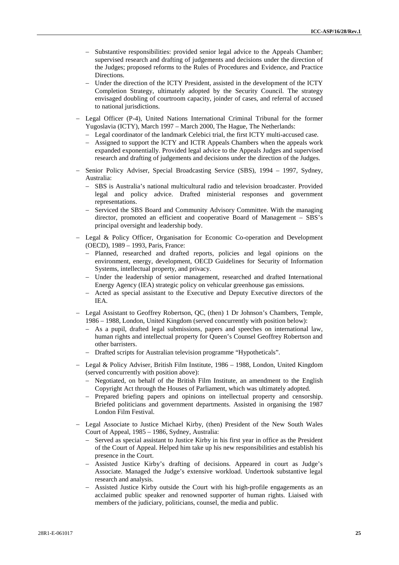- Substantive responsibilities: provided senior legal advice to the Appeals Chamber; supervised research and drafting of judgements and decisions under the direction of the Judges; proposed reforms to the Rules of Procedures and Evidence, and Practice Directions.
- Under the direction of the ICTY President, assisted in the development of the ICTY Completion Strategy, ultimately adopted by the Security Council. The strategy envisaged doubling of courtroom capacity, joinder of cases, and referral of accused to national jurisdictions.
- Legal Officer (P-4), United Nations International Criminal Tribunal for the former Yugoslavia (ICTY), March 1997 – March 2000, The Hague, The Netherlands:
	- Legal coordinator of the landmark Celebici trial, the first ICTY multi-accused case.
	- Assigned to support the ICTY and ICTR Appeals Chambers when the appeals work expanded exponentially. Provided legal advice to the Appeals Judges and supervised research and drafting of judgements and decisions under the direction of the Judges.
- Senior Policy Adviser, Special Broadcasting Service (SBS), 1994 1997, Sydney, Australia:
	- SBS is Australia's national multicultural radio and television broadcaster. Provided legal and policy advice. Drafted ministerial responses and government representations.
	- Serviced the SBS Board and Community Advisory Committee. With the managing director, promoted an efficient and cooperative Board of Management – SBS's principal oversight and leadership body.
- Legal & Policy Officer, Organisation for Economic Co-operation and Development (OECD), 1989 – 1993, Paris, France:
	- Planned, researched and drafted reports, policies and legal opinions on the environment, energy, development, OECD Guidelines for Security of Information Systems, intellectual property, and privacy.
	- Under the leadership of senior management, researched and drafted International Energy Agency (IEA) strategic policy on vehicular greenhouse gas emissions.
	- Acted as special assistant to the Executive and Deputy Executive directors of the IEA.
- Legal Assistant to Geoffrey Robertson, QC, (then) 1 Dr Johnson's Chambers, Temple, 1986 – 1988, London, United Kingdom (served concurrently with position below):
	- As a pupil, drafted legal submissions, papers and speeches on international law, human rights and intellectual property for Queen's Counsel Geoffrey Robertson and other barristers.
	- Drafted scripts for Australian television programme "Hypotheticals".
- Legal & Policy Adviser, British Film Institute,1986 1988, London, United Kingdom (served concurrently with position above):
	- Negotiated, on behalf of the British Film Institute, an amendment to the English Copyright Act through the Houses of Parliament, which was ultimately adopted.
	- Prepared briefing papers and opinions on intellectual property and censorship. Briefed politicians and government departments. Assisted in organising the 1987 London Film Festival.
- Legal Associate to Justice Michael Kirby, (then) President of the New South Wales Court of Appeal, 1985 – 1986, Sydney, Australia:
	- Served as special assistant to Justice Kirby in his first year in office as the President of the Court of Appeal. Helped him take up his new responsibilities and establish his presence in the Court.
	- Assisted Justice Kirby's drafting of decisions. Appeared in court as Judge's Associate. Managed the Judge's extensive workload. Undertook substantive legal research and analysis.
	- Assisted Justice Kirby outside the Court with his high-profile engagements as an acclaimed public speaker and renowned supporter of human rights. Liaised with members of the judiciary, politicians, counsel, the media and public.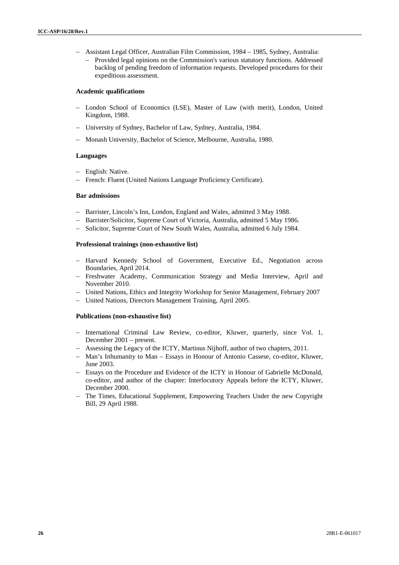- Assistant Legal Officer, Australian Film Commission, 1984 1985, Sydney, Australia:
	- Provided legal opinions on the Commission's various statutory functions. Addressed backlog of pending freedom of information requests. Developed procedures for their expeditious assessment.

# **Academic qualifications**

- London School of Economics (LSE), Master of Law (with merit), London, United Kingdom, 1988.
- University of Sydney, Bachelor of Law, Sydney, Australia, 1984.
- Monash University, Bachelor of Science, Melbourne, Australia, 1980.

#### **Languages**

- English: Native.
- French: Fluent (United Nations Language Proficiency Certificate).

#### **Bar admissions**

- Barrister, Lincoln's Inn, London, England and Wales, admitted 3 May 1988.
- Barrister/Solicitor, Supreme Court of Victoria, Australia, admitted 5 May 1986.
- Solicitor, Supreme Court of New South Wales, Australia, admitted 6 July 1984.

#### **Professional trainings (non-exhaustive list)**

- Harvard Kennedy School of Government, Executive Ed., Negotiation across Boundaries, April 2014.
- Freshwater Academy, Communication Strategy and Media Interview, April and November 2010.
- United Nations, Ethics and Integrity Workshop for Senior Management, February 2007
- United Nations, Directors Management Training, April 2005.

#### **Publications (non-exhaustive list)**

- International Criminal Law Review, co-editor, Kluwer, quarterly, since Vol. 1, December 2001 – present.
- Assessing the Legacy of the ICTY, Martinus Nijhoff, author of two chapters, 2011.
- Man's Inhumanity to Man Essays in Honour of Antonio Cassese, co-editor, Kluwer, June 2003.
- Essays on the Procedure and Evidence of the ICTY in Honour of Gabrielle McDonald, co-editor, and author of the chapter: Interlocutory Appeals before the ICTY, Kluwer, December 2000.
- The Times, Educational Supplement, Empowering Teachers Under the new Copyright Bill, 29 April 1988.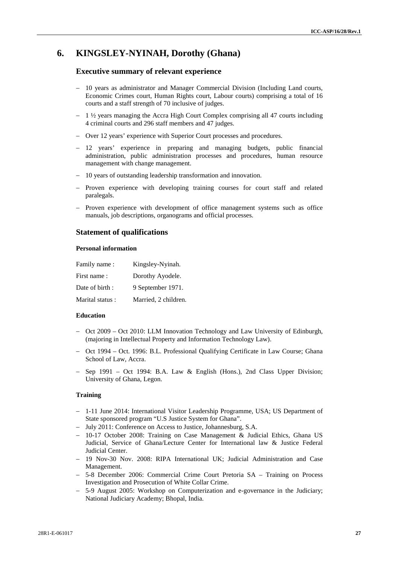# **6. KINGSLEY-NYINAH, Dorothy (Ghana)**

# **Executive summary of relevant experience**

- 10 years as administrator and Manager Commercial Division (Including Land courts, Economic Crimes court, Human Rights court, Labour courts) comprising a total of 16 courts and a staff strength of 70 inclusive of judges.
- $-1$   $\frac{1}{2}$  years managing the Accra High Court Complex comprising all 47 courts including 4 criminal courts and 296 staff members and 47 judges.
- Over 12 years' experience with Superior Court processes and procedures.
- 12 years' experience in preparing and managing budgets, public financial administration, public administration processes and procedures, human resource management with change management.
- 10 years of outstanding leadership transformation and innovation.
- Proven experience with developing training courses for court staff and related paralegals.
- Proven experience with development of office management systems such as office manuals, job descriptions, organograms and official processes.

# **Statement of qualifications**

#### **Personal information**

| Family name:    | Kingsley-Nyinah.     |
|-----------------|----------------------|
| First name:     | Dorothy Ayodele.     |
| Date of birth:  | 9 September 1971.    |
| Marital status: | Married, 2 children. |

## **Education**

- $-$  Oct 2009 Oct 2010: LLM Innovation Technology and Law University of Edinburgh, (majoring in Intellectual Property and Information Technology Law).
- Oct 1994 Oct. 1996: B.L. Professional Qualifying Certificate in Law Course; Ghana School of Law, Accra.
- Sep 1991 Oct 1994: B.A. Law & English (Hons.), 2nd Class Upper Division; University of Ghana, Legon.

# **Training**

- 1-11 June 2014: International Visitor Leadership Programme, USA; US Department of State sponsored program "U.S Justice System for Ghana".
- July 2011: Conference on Access to Justice, Johannesburg, S.A.
- 10-17 October 2008: Training on Case Management & Judicial Ethics, Ghana US Judicial, Service of Ghana/Lecture Center for International law & Justice Federal Judicial Center.
- 19 Nov-30 Nov. 2008: RIPA International UK; Judicial Administration and Case Management.
- 5-8 December 2006: Commercial Crime Court Pretoria SA Training on Process Investigation and Prosecution of White Collar Crime.
- 5-9 August 2005: Workshop on Computerization and e-governance in the Judiciary; National Judiciary Academy; Bhopal, India.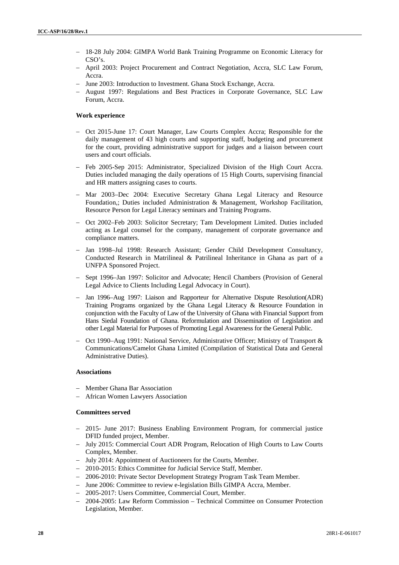- 18-28 July 2004: GIMPA World Bank Training Programme on Economic Literacy for CSO's.
- April 2003: Project Procurement and Contract Negotiation, Accra, SLC Law Forum, Accra.
- June 2003: Introduction to Investment. Ghana Stock Exchange, Accra.
- August 1997: Regulations and Best Practices in Corporate Governance, SLC Law Forum, Accra.

# **Work experience**

- Oct 2015-June 17: Court Manager, Law Courts Complex Accra; Responsible for the daily management of 43 high courts and supporting staff, budgeting and procurement for the court, providing administrative support for judges and a liaison between court users and court officials.
- Feb 2005-Sep 2015: Administrator, Specialized Division of the High Court Accra. Duties included managing the daily operations of 15 High Courts, supervising financial and HR matters assigning cases to courts.
- Mar 2003–Dec 2004: Executive Secretary Ghana Legal Literacy and Resource Foundation,; Duties included Administration & Management, Workshop Facilitation, Resource Person for Legal Literacy seminars and Training Programs.
- Oct 2002–Feb 2003: Solicitor Secretary; Tam Development Limited. Duties included acting as Legal counsel for the company, management of corporate governance and compliance matters.
- Jan 1998–Jul 1998: Research Assistant; Gender Child Development Consultancy, Conducted Research in Matrilineal & Patrilineal Inheritance in Ghana as part of a UNFPA Sponsored Project.
- Sept 1996–Jan 1997: Solicitor and Advocate; Hencil Chambers (Provision of General Legal Advice to Clients Including Legal Advocacy in Court).
- Jan 1996–Aug 1997: Liaison and Rapporteur for Alternative Dispute Resolution(ADR) Training Programs organized by the Ghana Legal Literacy & Resource Foundation in conjunction with the Faculty of Law of the University of Ghana with Financial Support from Hans Siedal Foundation of Ghana. Reformulation and Dissemination of Legislation and other Legal Material for Purposes of Promoting Legal Awareness for the General Public.
- Oct 1990–Aug 1991: National Service, Administrative Officer; Ministry of Transport  $\&$ Communications/Camelot Ghana Limited (Compilation of Statistical Data and General Administrative Duties).

## **Associations**

- Member Ghana Bar Association
- African Women Lawyers Association

# **Committees served**

- 2015- June 2017: Business Enabling Environment Program, for commercial justice DFID funded project, Member.
- July 2015: Commercial Court ADR Program, Relocation of High Courts to Law Courts Complex, Member.
- July 2014: Appointment of Auctioneers for the Courts, Member.
- 2010-2015: Ethics Committee for Judicial Service Staff, Member.
- 2006-2010: Private Sector Development Strategy Program Task Team Member.
- June 2006: Committee to review e-legislation Bills GIMPA Accra, Member.
- 2005-2017: Users Committee, Commercial Court, Member.
- 2004-2005: Law Reform Commission Technical Committee on Consumer Protection Legislation, Member.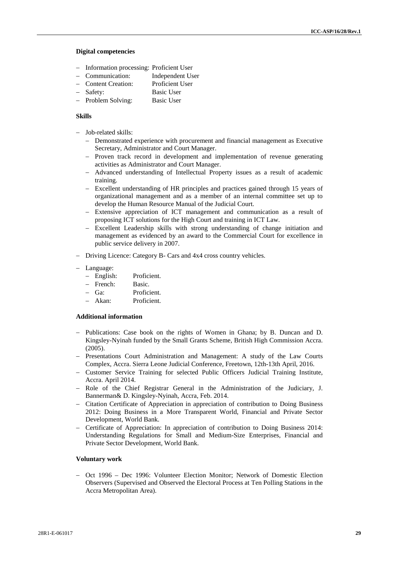#### **Digital competencies**

- Information processing: Proficient User
- Communication: Independent User
- Content Creation: Proficient User
- Safety: Basic User
- Problem Solving: Basic User

#### **Skills**

- Job-related skills:
	- Demonstrated experience with procurement and financial management as Executive Secretary, Administrator and Court Manager.
	- Proven track record in development and implementation of revenue generating activities as Administrator and Court Manager.
	- Advanced understanding of Intellectual Property issues as a result of academic training.
	- Excellent understanding of HR principles and practices gained through 15 years of organizational management and as a member of an internal committee set up to develop the Human Resource Manual of the Judicial Court.
	- Extensive appreciation of ICT management and communication as a result of proposing ICT solutions for the High Court and training in ICT Law.
	- Excellent Leadership skills with strong understanding of change initiation and management as evidenced by an award to the Commercial Court for excellence in public service delivery in 2007.
- Driving Licence: Category B- Cars and 4x4 cross country vehicles.
- Language:
	- English: Proficient.
	- French: Basic.
	- Ga: Proficient.
	- Akan: Proficient.

### **Additional information**

- Publications: Case book on the rights of Women in Ghana; by B. Duncan and D. Kingsley-Nyinah funded by the Small Grants Scheme, British High Commission Accra. (2005).
- Presentations Court Administration and Management: A study of the Law Courts Complex, Accra. Sierra Leone Judicial Conference, Freetown, 12th-13th April, 2016.
- Customer Service Training for selected Public Officers Judicial Training Institute, Accra. April 2014.
- Role of the Chief Registrar General in the Administration of the Judiciary, J. Bannerman& D. Kingsley-Nyinah, Accra, Feb. 2014.
- Citation Certificate of Appreciation in appreciation of contribution to Doing Business 2012: Doing Business in a More Transparent World, Financial and Private Sector Development, World Bank.
- Certificate of Appreciation: In appreciation of contribution to Doing Business 2014: Understanding Regulations for Small and Medium-Size Enterprises, Financial and Private Sector Development, World Bank.

#### **Voluntary work**

 Oct 1996 – Dec 1996: Volunteer Election Monitor; Network of Domestic Election Observers (Supervised and Observed the Electoral Process at Ten Polling Stations in the Accra Metropolitan Area).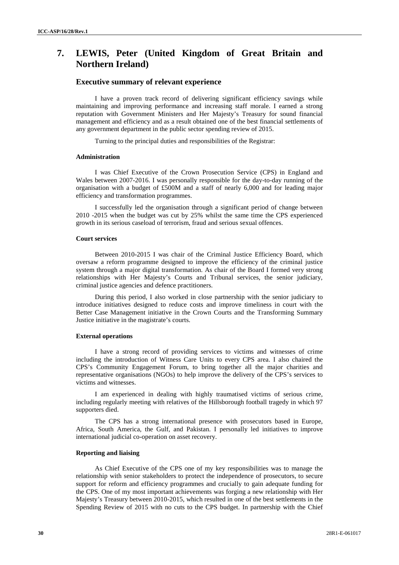# **7. LEWIS, Peter (United Kingdom of Great Britain and Northern Ireland)**

# **Executive summary of relevant experience**

I have a proven track record of delivering significant efficiency savings while maintaining and improving performance and increasing staff morale. I earned a strong reputation with Government Ministers and Her Majesty's Treasury for sound financial management and efficiency and as a result obtained one of the best financial settlements of any government department in the public sector spending review of 2015.

Turning to the principal duties and responsibilities of the Registrar:

## **Administration**

I was Chief Executive of the Crown Prosecution Service (CPS) in England and Wales between 2007-2016. I was personally responsible for the day-to-day running of the organisation with a budget of £500M and a staff of nearly 6,000 and for leading major efficiency and transformation programmes.

I successfully led the organisation through a significant period of change between 2010 -2015 when the budget was cut by 25% whilst the same time the CPS experienced growth in its serious caseload of terrorism, fraud and serious sexual offences.

#### **Court services**

Between 2010-2015 I was chair of the Criminal Justice Efficiency Board, which oversaw a reform programme designed to improve the efficiency of the criminal justice system through a major digital transformation. As chair of the Board I formed very strong relationships with Her Majesty's Courts and Tribunal services, the senior judiciary, criminal justice agencies and defence practitioners.

During this period, I also worked in close partnership with the senior judiciary to introduce initiatives designed to reduce costs and improve timeliness in court with the Better Case Management initiative in the Crown Courts and the Transforming Summary Justice initiative in the magistrate's courts.

#### **External operations**

I have a strong record of providing services to victims and witnesses of crime including the introduction of Witness Care Units to every CPS area. I also chaired the CPS's Community Engagement Forum, to bring together all the major charities and representative organisations (NGOs) to help improve the delivery of the CPS's services to victims and witnesses.

I am experienced in dealing with highly traumatised victims of serious crime, including regularly meeting with relatives of the Hillsborough football tragedy in which 97 supporters died.

The CPS has a strong international presence with prosecutors based in Europe, Africa, South America, the Gulf, and Pakistan. I personally led initiatives to improve international judicial co-operation on asset recovery.

#### **Reporting and liaising**

As Chief Executive of the CPS one of my key responsibilities was to manage the relationship with senior stakeholders to protect the independence of prosecutors, to secure support for reform and efficiency programmes and crucially to gain adequate funding for the CPS. One of my most important achievements was forging a new relationship with Her Majesty's Treasury between 2010-2015, which resulted in one of the best settlements in the Spending Review of 2015 with no cuts to the CPS budget. In partnership with the Chief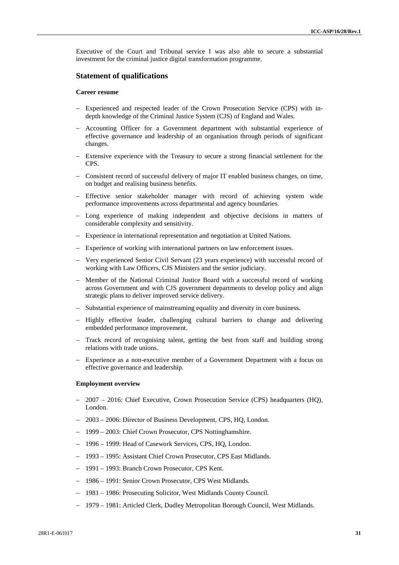Executive of the Court and Tribunal service I was also able to secure a substantial investment for the criminal justice digital transformation programme.

# **Statement of qualifications**

# **Career resume**

- Experienced and respected leader of the Crown Prosecution Service (CPS) with indepth knowledge of the Criminal Justice System (CJS) of England and Wales.
- Accounting Officer for a Government department with substantial experience of effective governance and leadership of an organisation through periods of significant changes.
- Extensive experience with the Treasury to secure a strong financial settlement for the CPS.
- Consistent record of successful delivery of major IT enabled business changes, on time, on budget and realising business benefits.
- Effective senior stakeholder manager with record of achieving system wide performance improvements across departmental and agency boundaries.
- Long experience of making independent and objective decisions in matters of considerable complexity and sensitivity.
- Experience in international representation and negotiation at United Nations.
- Experience of working with international partners on law enforcement issues.
- Very experienced Senior Civil Servant (23 years experience) with successful record of working with Law Officers, CJS Ministers and the senior judiciary.
- Member of the National Criminal Justice Board with a successful record of working across Government and with CJS government departments to develop policy and align strategic plans to deliver improved service delivery.
- Substantial experience of mainstreaming equality and diversity in core business.
- Highly effective leader, challenging cultural barriers to change and delivering embedded performance improvement.
- Track record of recognising talent, getting the best from staff and building strong relations with trade unions.
- Experience as a non-executive member of a Government Department with a focus on effective governance and leadership.

# **Employment overview**

- 2007 2016: Chief Executive, Crown Prosecution Service (CPS) headquarters (HQ), London.
- 2003 2006: Director of Business Development, CPS, HQ, London.
- 1999 2003: Chief Crown Prosecutor, CPS Nottinghamshire.
- 1996 1999: Head of Casework Services, CPS, HQ, London.
- 1993 1995: Assistant Chief Crown Prosecutor, CPS East Midlands.
- 1991 1993: Branch Crown Prosecutor, CPS Kent.
- 1986 1991: Senior Crown Prosecutor, CPS West Midlands.
- 1981 1986: Prosecuting Solicitor, West Midlands County Council.
- 1979 1981: Articled Clerk, Dudley Metropolitan Borough Council, West Midlands.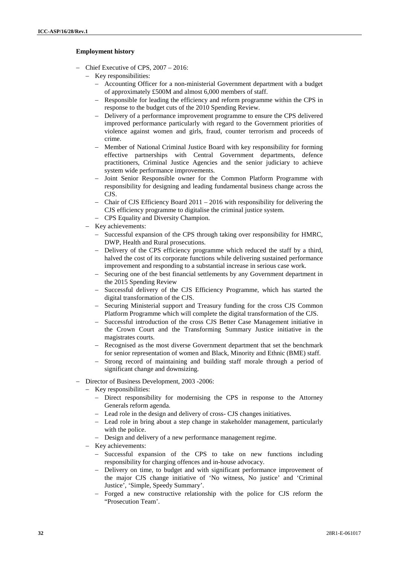# **Employment history**

- Chief Executive of CPS, 2007 2016:
	- Key responsibilities:
		- Accounting Officer for a non-ministerial Government department with a budget of approximately £500M and almost 6,000 members of staff.
		- Responsible for leading the efficiency and reform programme within the CPS in response to the budget cuts of the 2010 Spending Review.
		- Delivery of a performance improvement programme to ensure the CPS delivered improved performance particularly with regard to the Government priorities of violence against women and girls, fraud, counter terrorism and proceeds of crime.
		- Member of National Criminal Justice Board with key responsibility for forming effective partnerships with Central Government departments, defence practitioners, Criminal Justice Agencies and the senior judiciary to achieve system wide performance improvements.
		- Joint Senior Responsible owner for the Common Platform Programme with responsibility for designing and leading fundamental business change across the CJS.
		- Chair of CJS Efficiency Board 2011 2016 with responsibility for delivering the CJS efficiency programme to digitalise the criminal justice system.
		- CPS Equality and Diversity Champion.
	- Key achievements:
		- Successful expansion of the CPS through taking over responsibility for HMRC, DWP, Health and Rural prosecutions.
		- Delivery of the CPS efficiency programme which reduced the staff by a third, halved the cost of its corporate functions while delivering sustained performance improvement and responding to a substantial increase in serious case work.
		- Securing one of the best financial settlements by any Government department in the 2015 Spending Review
		- Successful delivery of the CJS Efficiency Programme, which has started the digital transformation of the CJS.
		- Securing Ministerial support and Treasury funding for the cross CJS Common Platform Programme which will complete the digital transformation of the CJS.
		- Successful introduction of the cross CJS Better Case Management initiative in the Crown Court and the Transforming Summary Justice initiative in the magistrates courts.
		- Recognised as the most diverse Government department that set the benchmark for senior representation of women and Black, Minority and Ethnic (BME) staff.
		- Strong record of maintaining and building staff morale through a period of significant change and downsizing.
- Director of Business Development, 2003 -2006:
	- Key responsibilities:
		- Direct responsibility for modernising the CPS in response to the Attorney Generals reform agenda.
		- Lead role in the design and delivery of cross- CJS changes initiatives.
		- Lead role in bring about a step change in stakeholder management, particularly with the police.
		- Design and delivery of a new performance management regime.
	- Key achievements:
		- Successful expansion of the CPS to take on new functions including responsibility for charging offences and in-house advocacy.
		- Delivery on time, to budget and with significant performance improvement of the major CJS change initiative of 'No witness, No justice' and 'Criminal Justice', 'Simple, Speedy Summary'.
		- Forged a new constructive relationship with the police for CJS reform the "Prosecution Team'.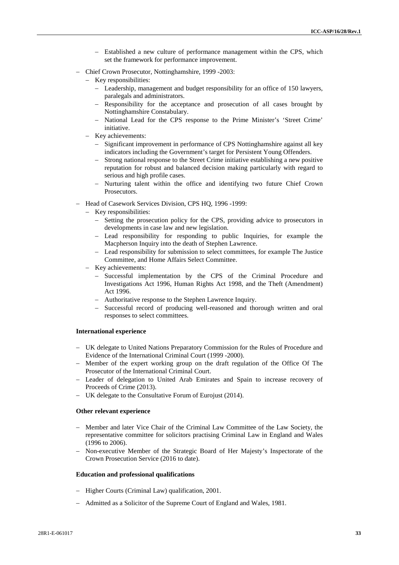- Established a new culture of performance management within the CPS, which set the framework for performance improvement.
- Chief Crown Prosecutor, Nottinghamshire, 1999 -2003:
	- Key responsibilities:
		- Leadership, management and budget responsibility for an office of 150 lawyers, paralegals and administrators.
		- Responsibility for the acceptance and prosecution of all cases brought by Nottinghamshire Constabulary.
		- National Lead for the CPS response to the Prime Minister's 'Street Crime' initiative.
	- Key achievements:
		- Significant improvement in performance of CPS Nottinghamshire against all key indicators including the Government's target for Persistent Young Offenders.
		- Strong national response to the Street Crime initiative establishing a new positive reputation for robust and balanced decision making particularly with regard to serious and high profile cases.
		- Nurturing talent within the office and identifying two future Chief Crown Prosecutors.
- Head of Casework Services Division, CPS HO, 1996 -1999:
	- Key responsibilities:
		- Setting the prosecution policy for the CPS, providing advice to prosecutors in developments in case law and new legislation.
		- Lead responsibility for responding to public Inquiries, for example the Macpherson Inquiry into the death of Stephen Lawrence.
		- Lead responsibility for submission to select committees, for example The Justice Committee, and Home Affairs Select Committee.
	- Key achievements:
		- Successful implementation by the CPS of the Criminal Procedure and Investigations Act 1996, Human Rights Act 1998, and the Theft (Amendment) Act 1996.
		- Authoritative response to the Stephen Lawrence Inquiry.
		- Successful record of producing well-reasoned and thorough written and oral responses to select committees.

#### **International experience**

- UK delegate to United Nations Preparatory Commission for the Rules of Procedure and Evidence of the International Criminal Court (1999 -2000).
- Member of the expert working group on the draft regulation of the Office Of The Prosecutor of the International Criminal Court.
- Leader of delegation to United Arab Emirates and Spain to increase recovery of Proceeds of Crime (2013).
- UK delegate to the Consultative Forum of Eurojust (2014).

#### **Other relevant experience**

- Member and later Vice Chair of the Criminal Law Committee of the Law Society, the representative committee for solicitors practising Criminal Law in England and Wales (1996 to 2006).
- Non-executive Member of the Strategic Board of Her Majesty's Inspectorate of the Crown Prosecution Service (2016 to date).

## **Education and professional qualifications**

- Higher Courts (Criminal Law) qualification, 2001.
- Admitted as a Solicitor of the Supreme Court of England and Wales, 1981.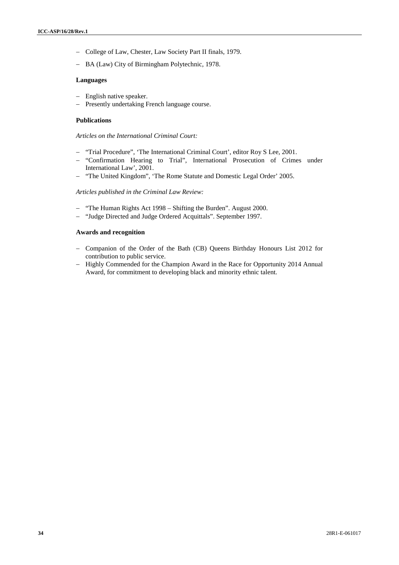- College of Law, Chester, Law Society Part II finals, 1979.
- BA (Law) City of Birmingham Polytechnic, 1978.

## **Languages**

- English native speaker.
- Presently undertaking French language course.

### **Publications**

*Articles on the International Criminal Court:*

- "Trial Procedure", 'The International Criminal Court', editor Roy S Lee, 2001.
- "Confirmation Hearing to Trial", International Prosecution of Crimes under International Law', 2001.
- "The United Kingdom", 'The Rome Statute and Domestic Legal Order' 2005.

#### *Articles published in the Criminal Law Review:*

- "The Human Rights Act 1998 Shifting the Burden". August 2000.
- "Judge Directed and Judge Ordered Acquittals". September 1997.

# **Awards and recognition**

- Companion of the Order of the Bath (CB) Queens Birthday Honours List 2012 for contribution to public service.
- Highly Commended for the Champion Award in the Race for Opportunity 2014 Annual Award, for commitment to developing black and minority ethnic talent.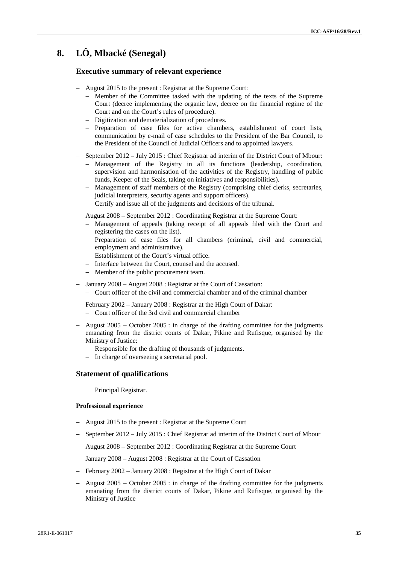# **8. LÔ, Mbacké (Senegal)**

# **Executive summary of relevant experience**

- August 2015 to the present : Registrar at the Supreme Court:
	- Member of the Committee tasked with the updating of the texts of the Supreme Court (decree implementing the organic law, decree on the financial regime of the Court and on the Court's rules of procedure).
	- Digitization and dematerialization of procedures.
	- Preparation of case files for active chambers, establishment of court lists, communication by e-mail of case schedules to the President of the Bar Council, to the President of the Council of Judicial Officers and to appointed lawyers.
- $-$  September 2012 July 2015 : Chief Registrar ad interim of the District Court of Mbour:
	- Management of the Registry in all its functions (leadership, coordination, supervision and harmonisation of the activities of the Registry, handling of public funds, Keeper of the Seals, taking on initiatives and responsibilities).
	- Management of staff members of the Registry (comprising chief clerks, secretaries, judicial interpreters, security agents and support officers).
	- Certify and issue all of the judgments and decisions of the tribunal.
- August 2008 September 2012 : Coordinating Registrar at the Supreme Court:
	- Management of appeals (taking receipt of all appeals filed with the Court and registering the cases on the list).
	- Preparation of case files for all chambers (criminal, civil and commercial, employment and administrative).
	- Establishment of the Court's virtual office.
	- Interface between the Court, counsel and the accused.
	- Member of the public procurement team.
- January 2008 August 2008 : Registrar at the Court of Cassation: Court officer of the civil and commercial chamber and of the criminal chamber
- February 2002 January 2008 : Registrar at the High Court of Dakar: Court officer of the 3rd civil and commercial chamber
- August  $2005$  October  $2005$ : in charge of the drafting committee for the judgments emanating from the district courts of Dakar, Pikine and Rufisque, organised by the Ministry of Justice:
	- Responsible for the drafting of thousands of judgments.
	- In charge of overseeing a secretarial pool.

# **Statement of qualifications**

Principal Registrar.

#### **Professional experience**

- August 2015 to the present : Registrar at the Supreme Court
- September 2012 July 2015 : Chief Registrar ad interim of the District Court of Mbour
- August 2008 September 2012 : Coordinating Registrar at the Supreme Court
- January 2008 August 2008 : Registrar at the Court of Cassation
- February 2002 January 2008 : Registrar at the High Court of Dakar
- August  $2005$  October  $2005$ : in charge of the drafting committee for the judgments emanating from the district courts of Dakar, Pikine and Rufisque, organised by the Ministry of Justice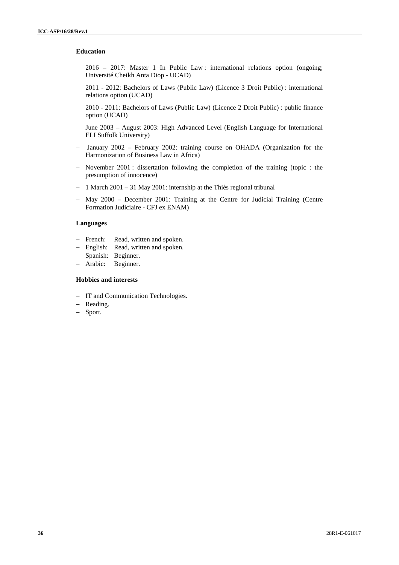## **Education**

- 2016 2017: Master 1 In Public Law : international relations option (ongoing; Université Cheikh Anta Diop - UCAD)
- 2011 2012: Bachelors of Laws (Public Law) (Licence 3 Droit Public) : international relations option (UCAD)
- 2010 2011: Bachelors of Laws (Public Law) (Licence 2 Droit Public) : public finance option (UCAD)
- June 2003 August 2003: High Advanced Level (English Language for International ELI Suffolk University)
- January 2002 February 2002: training course on OHADA (Organization for the Harmonization of Business Law in Africa)
- November 2001 : dissertation following the completion of the training (topic : the presumption of innocence)
- $-1$  March 2001 31 May 2001: internship at the Thiès regional tribunal
- May 2000 December 2001: Training at the Centre for Judicial Training (Centre Formation Judiciaire - CFJ ex ENAM)

## **Languages**

- French: Read, written and spoken.
- English: Read, written and spoken.
- Spanish: Beginner.
- Arabic: Beginner.

# **Hobbies and interests**

- IT and Communication Technologies.
- Reading.
- Sport.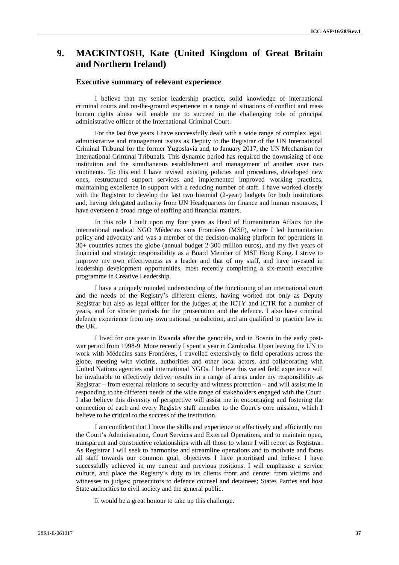# **9. MACKINTOSH, Kate (United Kingdom of Great Britain and Northern Ireland)**

## **Executive summary of relevant experience**

I believe that my senior leadership practice, solid knowledge of international criminal courts and on-the-ground experience in a range of situations of conflict and mass human rights abuse will enable me to succeed in the challenging role of principal administrative officer of the International Criminal Court.

For the last five years I have successfully dealt with a wide range of complex legal, administrative and management issues as Deputy to the Registrar of the UN International Criminal Tribunal for the former Yugoslavia and, to January 2017, the UN Mechanism for International Criminal Tribunals. This dynamic period has required the downsizing of one institution and the simultaneous establishment and management of another over two continents. To this end I have revised existing policies and procedures, developed new ones, restructured support services and implemented improved working practices, maintaining excellence in support with a reducing number of staff. I have worked closely with the Registrar to develop the last two biennial (2-year) budgets for both institutions and, having delegated authority from UN Headquarters for finance and human resources, I have overseen a broad range of staffing and financial matters.

In this role I built upon my four years as Head of Humanitarian Affairs for the international medical NGO Médecins sans Frontières (MSF), where I led humanitarian policy and advocacy and was a member of the decision-making platform for operations in 30+ countries across the globe (annual budget 2-300 million euros), and my five years of financial and strategic responsibility as a Board Member of MSF Hong Kong. I strive to improve my own effectiveness as a leader and that of my staff, and have invested in leadership development opportunities, most recently completing a six-month executive programme in Creative Leadership.

I have a uniquely rounded understanding of the functioning of an international court and the needs of the Registry's different clients, having worked not only as Deputy Registrar but also as legal officer for the judges at the ICTY and ICTR for a number of years, and for shorter periods for the prosecution and the defence. I also have criminal defence experience from my own national jurisdiction, and am qualified to practice law in the UK.

I lived for one year in Rwanda after the genocide, and in Bosnia in the early post war period from 1998-9. More recently I spent a year in Cambodia. Upon leaving the UN to work with Médecins sans Frontières, I travelled extensively to field operations across the globe, meeting with victims, authorities and other local actors, and collaborating with United Nations agencies and international NGOs. I believe this varied field experience will be invaluable to effectively deliver results in a range of areas under my responsibility as Registrar – from external relations to security and witness protection – and will assist me in responding to the different needs of the wide range of stakeholders engaged with the Court. I also believe this diversity of perspective will assist me in encouraging and fostering the connection of each and every Registry staff member to the Court's core mission, which I believe to be critical to the success of the institution.

I am confident that I have the skills and experience to effectively and efficiently run the Court's Administration, Court Services and External Operations, and to maintain open, transparent and constructive relationships with all those to whom I will report as Registrar. As Registrar I will seek to harmonise and streamline operations and to motivate and focus all staff towards our common goal, objectives I have prioritised and believe I have successfully achieved in my current and previous positions. I will emphasise a service culture, and place the Registry's duty to its clients front and centre: from victims and witnesses to judges; prosecutors to defence counsel and detainees; States Parties and host State authorities to civil society and the general public.

It would be a great honour to take up this challenge.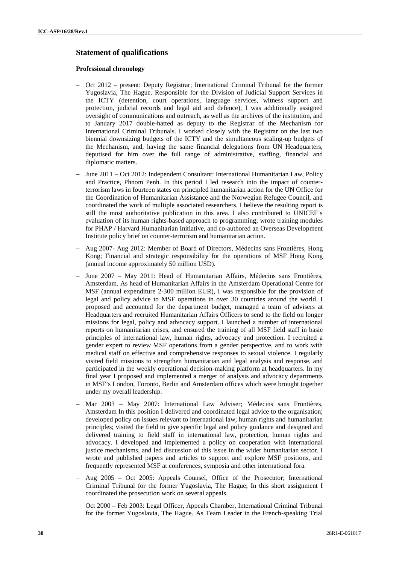# **Statement of qualifications**

### **Professional chronology**

- Oct 2012 present: Deputy Registrar; International Criminal Tribunal for the former Yugoslavia, The Hague. Responsible for the Division of Judicial Support Services in the ICTY (detention, court operations, language services, witness support and protection, judicial records and legal aid and defence), I was additionally assigned oversight of communications and outreach, as well as the archives of the institution, and to January 2017 double-hatted as deputy to the Registrar of the Mechanism for International Criminal Tribunals. I worked closely with the Registrar on the last two biennial downsizing budgets of the ICTY and the simultaneous scaling-up budgets of the Mechanism, and, having the same financial delegations from UN Headquarters, deputised for him over the full range of administrative, staffing, financial and diplomatic matters.
- June 2011 Oct 2012: Independent Consultant: International Humanitarian Law, Policy and Practice, Phnom Penh. In this period I led research into the impact of counterterrorism laws in fourteen states on principled humanitarian action for the UN Office for the Coordination of Humanitarian Assistance and the Norwegian Refugee Council, and coordinated the work of multiple associated researchers. I believe the resulting report is still the most authoritative publication in this area. I also contributed to UNICEF's evaluation of its human rights-based approach to programming; wrote training modules for PHAP / Harvard Humanitarian Initiative, and co-authored an Overseas Development Institute policy brief on counter-terrorism and humanitarian action.
- Aug 2007- Aug 2012: Member of Board of Directors, Médecins sans Frontières, Hong Kong; Financial and strategic responsibility for the operations of MSF Hong Kong (annual income approximately 50 million USD).
- June 2007 May 2011: Head of Humanitarian Affairs, Médecins sans Frontières, Amsterdam. As head of Humanitarian Affairs in the Amsterdam Operational Centre for MSF (annual expenditure 2-300 million EUR), I was responsible for the provision of legal and policy advice to MSF operations in over 30 countries around the world. I proposed and accounted for the department budget, managed a team of advisers at Headquarters and recruited Humanitarian Affairs Officers to send to the field on longer missions for legal, policy and advocacy support. I launched a number of international reports on humanitarian crises, and ensured the training of all MSF field staff in basic principles of international law, human rights, advocacy and protection. I recruited a gender expert to review MSF operations from a gender perspective, and to work with medical staff on effective and comprehensive responses to sexual violence. I regularly visited field missions to strengthen humanitarian and legal analysis and response, and participated in the weekly operational decision-making platform at headquarters. In my final year I proposed and implemented a merger of analysis and advocacy departments in MSF's London, Toronto, Berlin and Amsterdam offices which were brought together under my overall leadership.
- Mar 2003 May 2007: International Law Adviser; Médecins sans Frontières, Amsterdam In this position I delivered and coordinated legal advice to the organisation; developed policy on issues relevant to international law, human rights and humanitarian principles; visited the field to give specific legal and policy guidance and designed and delivered training to field staff in international law, protection, human rights and advocacy. I developed and implemented a policy on cooperation with international justice mechanisms, and led discussion of this issue in the wider humanitarian sector. I wrote and published papers and articles to support and explore MSF positions, and frequently represented MSF at conferences, symposia and other international fora.
- Aug 2005 Oct 2005: Appeals Counsel, Office of the Prosecutor; International Criminal Tribunal for the former Yugoslavia, The Hague; In this short assignment I coordinated the prosecution work on several appeals.
- Oct 2000 Feb 2003: Legal Officer, Appeals Chamber, International Criminal Tribunal for the former Yugoslavia, The Hague. As Team Leader in the French-speaking Trial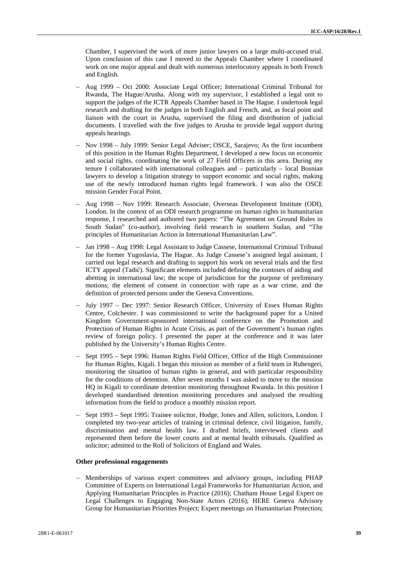Chamber, I supervised the work of more junior lawyers on a large multi-accused trial. Upon conclusion of this case I moved to the Appeals Chamber where I coordinated work on one major appeal and dealt with numerous interlocutory appeals in both French and English.

- Aug 1999 Oct 2000: Associate Legal Officer; International Criminal Tribunal for Rwanda, The Hague/Arusha. Along with my supervisor, I established a legal unit to support the judges of the ICTR Appeals Chamber based in The Hague. I undertook legal research and drafting for the judges in both English and French, and, as focal point and liaison with the court in Arusha, supervised the filing and distribution of judicial documents. I travelled with the five judges to Arusha to provide legal support during appeals hearings.
- Nov 1998 July 1999: Senior Legal Adviser; OSCE, Sarajevo; As the first incumbent of this position in the Human Rights Department, I developed a new focus on economic and social rights, coordinating the work of 27 Field Officers in this area. During my tenure I collaborated with international colleagues and – particularly – local Bosnian lawyers to develop a litigation strategy to support economic and social rights, making use of the newly introduced human rights legal framework. I was also the OSCE mission Gender Focal Point.
- Aug 1998 Nov 1999: Research Associate, Overseas Development Institute (ODI), London. In the context of an ODI research programme on human rights in humanitarian response, I researched and authored two papers: "The Agreement on Ground Rules in South Sudan" (co-author), involving field research in southern Sudan, and "The principles of Humanitarian Action in International Humanitarian Law".
- Jan 1998 Aug 1998: Legal Assistant to Judge Cassese, International Criminal Tribunal for the former Yugoslavia, The Hague. As Judge Cassese's assigned legal assistant, I carried out legal research and drafting to support his work on several trials and the first ICTY appeal (Tadi ). Significant elements included defining the contours of aiding and abetting in international law; the scope of jurisdiction for the purpose of preliminary motions; the element of consent in connection with rape as a war crime, and the definition of protected persons under the Geneva Conventions.
- July 1997 Dec 1997: Senior Research Officer, University of Essex Human Rights Centre, Colchester. I was commissioned to write the background paper for a United Kingdom Government-sponsored international conference on the Promotion and Protection of Human Rights in Acute Crisis, as part of the Government's human rights review of foreign policy. I presented the paper at the conference and it was later published by the University's Human Rights Centre.
- Sept 1995 Sept 1996: Human Rights Field Officer, Office of the High Commissioner for Human Rights, Kigali. I began this mission as member of a field team in Ruhengeri, monitoring the situation of human rights in general, and with particular responsibility for the conditions of detention. After seven months I was asked to move to the mission HQ in Kigali to coordinate detention monitoring throughout Rwanda. In this position I developed standardised detention monitoring procedures and analysed the resulting information from the field to produce a monthly mission report.
- Sept 1993 Sept 1995: Trainee solicitor, Hodge, Jones and Allen, solicitors, London. I completed my two-year articles of training in criminal defence, civil litigation, family, discrimination and mental health law. I drafted briefs, interviewed clients and represented them before the lower courts and at mental health tribunals. Qualified as solicitor; admitted to the Roll of Solicitors of England and Wales.

#### **Other professional engagements**

 Memberships of various expert committees and advisory groups, including PHAP Committee of Experts on International Legal Frameworks for Humanitarian Action, and Applying Humanitarian Principles in Practice (2016); Chatham House Legal Expert on Legal Challenges to Engaging Non-State Actors (2016); HERE Geneva Advisory Group for Humanitarian Priorities Project; Expert meetings on Humanitarian Protection;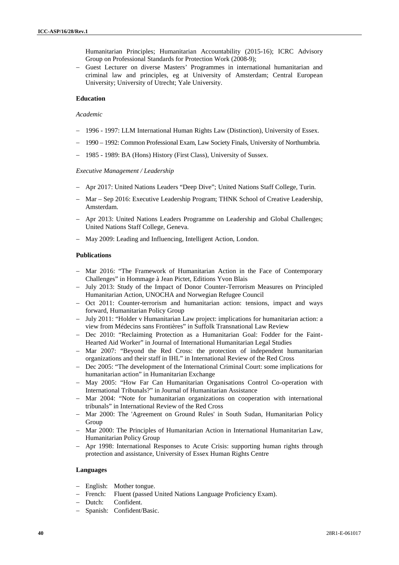Humanitarian Principles; Humanitarian Accountability (2015-16); ICRC Advisory Group on Professional Standards for Protection Work (2008-9);

 Guest Lecturer on diverse Masters' Programmes in international humanitarian and criminal law and principles, eg at University of Amsterdam; Central European University; University of Utrecht; Yale University.

## **Education**

#### *Academic*

- 1996 1997: LLM International Human Rights Law (Distinction), University of Essex.
- 1990 1992: Common Professional Exam, Law Society Finals, University of Northumbria.
- 1985 1989: BA (Hons) History (First Class), University of Sussex.

#### *Executive Management / Leadership*

- Apr 2017: United Nations Leaders "Deep Dive"; United Nations Staff College, Turin.
- Mar Sep 2016: Executive Leadership Program; THNK School of Creative Leadership, Amsterdam.
- Apr 2013: United Nations Leaders Programme on Leadership and Global Challenges; United Nations Staff College, Geneva.
- May 2009: Leading and Influencing, Intelligent Action, London.

#### **Publications**

- Mar 2016: "The Framework of Humanitarian Action in the Face of Contemporary Challenges" in Hommage à Jean Pictet, Editions Yvon Blais
- July 2013: Study of the Impact of Donor Counter-Terrorism Measures on Principled Humanitarian Action, UNOCHA and Norwegian Refugee Council
- Oct 2011: Counter-terrorism and humanitarian action: tensions, impact and ways forward, Humanitarian Policy Group
- July 2011: "Holder v Humanitarian Law project: implications for humanitarian action: a view from Médecins sans Frontières" in Suffolk Transnational Law Review
- Dec 2010: "Reclaiming Protection as a Humanitarian Goal: Fodder for the Faint-Hearted Aid Worker" in Journal of International Humanitarian Legal Studies
- Mar 2007: "Beyond the Red Cross: the protection of independent humanitarian organizations and their staff in IHL" in International Review of the Red Cross
- Dec 2005: "The development of the International Criminal Court: some implications for humanitarian action" in Humanitarian Exchange
- May 2005: "How Far Can Humanitarian Organisations Control Co-operation with International Tribunals?" in Journal of Humanitarian Assistance
- Mar 2004: "Note for humanitarian organizations on cooperation with international tribunals" in International Review of the Red Cross
- Mar 2000: The 'Agreement on Ground Rules' in South Sudan, Humanitarian Policy Group
- Mar 2000: The Principles of Humanitarian Action in International Humanitarian Law, Humanitarian Policy Group
- Apr 1998: International Responses to Acute Crisis: supporting human rights through protection and assistance, University of Essex Human Rights Centre

#### **Languages**

- English: Mother tongue.
- French: Fluent (passed United Nations Language Proficiency Exam).
- Dutch: Confident.
- Spanish: Confident/Basic.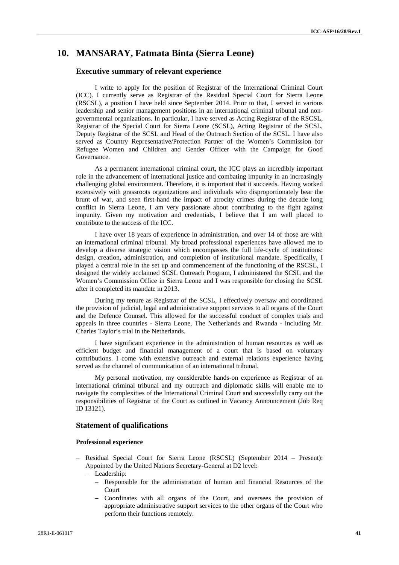# **10. MANSARAY, Fatmata Binta (Sierra Leone)**

# **Executive summary of relevant experience**

I write to apply for the position of Registrar of the International Criminal Court (ICC). I currently serve as Registrar of the Residual Special Court for Sierra Leone (RSCSL), a position I have held since September 2014. Prior to that, I served in various leadership and senior management positions in an international criminal tribunal and non governmental organizations. In particular, I have served as Acting Registrar of the RSCSL, Registrar of the Special Court for Sierra Leone (SCSL), Acting Registrar of the SCSL, Deputy Registrar of the SCSL and Head of the Outreach Section of the SCSL. I have also served as Country Representative/Protection Partner of the Women's Commission for Refugee Women and Children and Gender Officer with the Campaign for Good Governance.

As a permanent international criminal court, the ICC plays an incredibly important role in the advancement of international justice and combating impunity in an increasingly challenging global environment. Therefore, it is important that it succeeds. Having worked extensively with grassroots organizations and individuals who disproportionately bear the brunt of war, and seen first-hand the impact of atrocity crimes during the decade long conflict in Sierra Leone, I am very passionate about contributing to the fight against impunity. Given my motivation and credentials, I believe that I am well placed to contribute to the success of the ICC.

I have over 18 years of experience in administration, and over 14 of those are with an international criminal tribunal. My broad professional experiences have allowed me to develop a diverse strategic vision which encompasses the full life-cycle of institutions: design, creation, administration, and completion of institutional mandate. Specifically, I played a central role in the set up and commencement of the functioning of the RSCSL, I designed the widely acclaimed SCSL Outreach Program, I administered the SCSL and the Women's Commission Office in Sierra Leone and I was responsible for closing the SCSL after it completed its mandate in 2013.

During my tenure as Registrar of the SCSL, I effectively oversaw and coordinated the provision of judicial, legal and administrative support services to all organs of the Court and the Defence Counsel. This allowed for the successful conduct of complex trials and appeals in three countries - Sierra Leone, The Netherlands and Rwanda -including Mr. Charles Taylor's trial in the Netherlands.

I have significant experience in the administration of human resources as well as efficient budget and financial management of a court that is based on voluntary contributions. I come with extensive outreach and external relations experience having served as the channel of communication of an international tribunal.

My personal motivation, my considerable hands-on experience as Registrar of an international criminal tribunal and my outreach and diplomatic skills will enable me to navigate the complexities of the International Criminal Court and successfully carry out the responsibilities of Registrar of the Court as outlined in Vacancy Announcement (Job Req ID 13121).

## **Statement of qualifications**

#### **Professional experience**

- Residual Special Court for Sierra Leone (RSCSL) (September 2014 Present): Appointed by the United Nations Secretary-General at D2 level:
	- Leadership:
		- Responsible for the administration of human and financial Resources of the Court
		- Coordinates with all organs of the Court, and oversees the provision of appropriate administrative support services to the other organs of the Court who perform their functions remotely.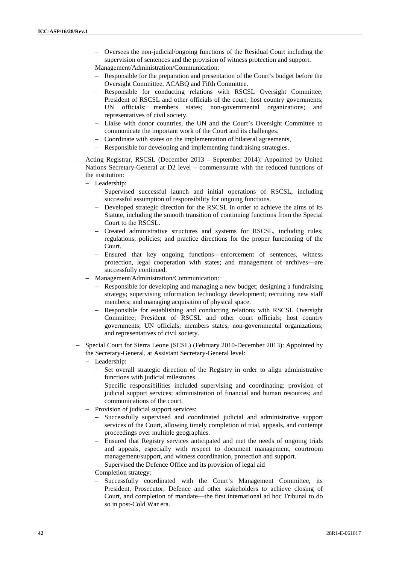- Oversees the non-judicial/ongoing functions of the Residual Court including the supervision of sentences and the provision of witness protection and support.
- Management/Administration/Communication:
	- Responsible for the preparation and presentation of the Court's budget before the Oversight Committee, ACABQ and Fifth Committee.
	- Responsible for conducting relations with RSCSL Oversight Committee; President of RSCSL and other officials of the court; host country governments; UN officials; members states; non-governmental organizations; and representatives of civil society.
	- Liaise with donor countries, the UN and the Court's Oversight Committee to communicate the important work of the Court and its challenges.
	- Coordinate with states on the implementation of bilateral agreements,
	- Responsible for developing and implementing fundraising strategies.
- Acting Registrar, RSCSL (December 2013 September 2014): Appointed by United Nations Secretary-General at D2 level – commensurate with the reduced functions of the institution:
	- Leadership:
		- Supervised successful launch and initial operations of RSCSL, including successful assumption of responsibility for ongoing functions.
		- Developed strategic direction for the RSCSL in order to achieve the aims of its Statute, including the smooth transition of continuing functions from the Special Court to the RSCSL.
		- Created administrative structures and systems for RSCSL, including rules; regulations; policies; and practice directions for the proper functioning of the Court.
		- Ensured that key ongoing functions—enforcement of sentences, witness protection, legal cooperation with states; and management of archives—are successfully continued.
	- Management/Administration/Communication:
		- Responsible for developing and managing a new budget; designing a fundraising strategy; supervising information technology development; recruiting new staff members; and managing acquisition of physical space.
		- Responsible for establishing and conducting relations with RSCSL Oversight Committee; President of RSCSL and other court officials; host country governments; UN officials; members states; non-governmental organizations; and representatives of civil society.
- Special Court for Sierra Leone (SCSL) (February 2010-December 2013): Appointed by the Secretary-General, at Assistant Secretary-General level:
	- Leadership:
		- Set overall strategic direction of the Registry in order to align administrative functions with judicial milestones.
		- Specific responsibilities included supervising and coordinating: provision of judicial support services; administration of financial and human resources; and communications of the court.
	- Provision of judicial support services:
		- Successfully supervised and coordinated judicial and administrative support services of the Court, allowing timely completion of trial, appeals, and contempt proceedings over multiple geographies.
		- Ensured that Registry services anticipated and met the needs of ongoing trials and appeals, especially with respect to document management, courtroom management/support, and witness coordination, protection and support.
		- Supervised the Defence Office and its provision of legal aid
	- Completion strategy:
		- Successfully coordinated with the Court's Management Committee, its President, Prosecutor, Defence and other stakeholders to achieve closing of Court, and completion of mandate—the first international ad hoc Tribunal to do so in post-Cold War era.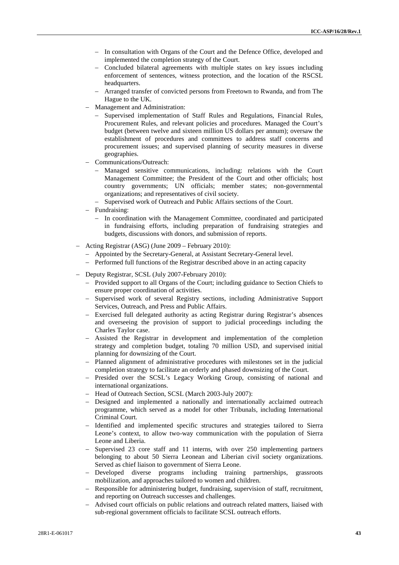- In consultation with Organs of the Court and the Defence Office, developed and implemented the completion strategy of the Court.
- Concluded bilateral agreements with multiple states on key issues including enforcement of sentences, witness protection, and the location of the RSCSL headquarters.
- Arranged transfer of convicted persons from Freetown to Rwanda, and from The Hague to the UK.
- Management and Administration:
	- Supervised implementation of Staff Rules and Regulations, Financial Rules, Procurement Rules, and relevant policies and procedures. Managed the Court's budget (between twelve and sixteen million US dollars per annum); oversaw the establishment of procedures and committees to address staff concerns and procurement issues; and supervised planning of security measures in diverse geographies.
- Communications/Outreach:
	- Managed sensitive communications, including: relations with the Court Management Committee; the President of the Court and other officials; host country governments; UN officials; member states; non-governmental organizations; and representatives of civil society.
	- Supervised work of Outreach and Public Affairs sections of the Court.
- Fundraising:
	- In coordination with the Management Committee, coordinated and participated in fundraising efforts, including preparation of fundraising strategies and budgets, discussions with donors, and submission of reports.
- Acting Registrar (ASG) (June 2009 February 2010):
	- Appointed by the Secretary-General, at Assistant Secretary-General level.
	- Performed full functions of the Registrar described above in an acting capacity
- Deputy Registrar, SCSL (July 2007-February 2010):
	- Provided support to all Organs of the Court; including guidance to Section Chiefs to ensure proper coordination of activities.
	- Supervised work of several Registry sections, including Administrative Support Services, Outreach, and Press and Public Affairs.
	- Exercised full delegated authority as acting Registrar during Registrar's absences and overseeing the provision of support to judicial proceedings including the Charles Taylor case.
	- Assisted the Registrar in development and implementation of the completion strategy and completion budget, totaling 70 million USD, and supervised initial planning for downsizing of the Court.
	- Planned alignment of administrative procedures with milestones set in the judicial completion strategy to facilitate an orderly and phased downsizing of the Court.
	- Presided over the SCSL's Legacy Working Group, consisting of national and international organizations.
	- Head of Outreach Section, SCSL (March 2003-July 2007):
	- Designed and implemented a nationally and internationally acclaimed outreach programme, which served as a model for other Tribunals, including International Criminal Court.
	- Identified and implemented specific structures and strategies tailored to Sierra Leone's context, to allow two-way communication with the population of Sierra Leone and Liberia.
	- Supervised 23 core staff and 11 interns, with over 250 implementing partners belonging to about 50 Sierra Leonean and Liberian civil society organizations. Served as chief liaison to government of Sierra Leone.
	- Developed diverse programs including training partnerships, grassroots mobilization, and approaches tailored to women and children.
	- Responsible for administering budget, fundraising, supervision of staff, recruitment, and reporting on Outreach successes and challenges.
	- Advised court officials on public relations and outreach related matters, liaised with sub-regional government officials to facilitate SCSL outreach efforts.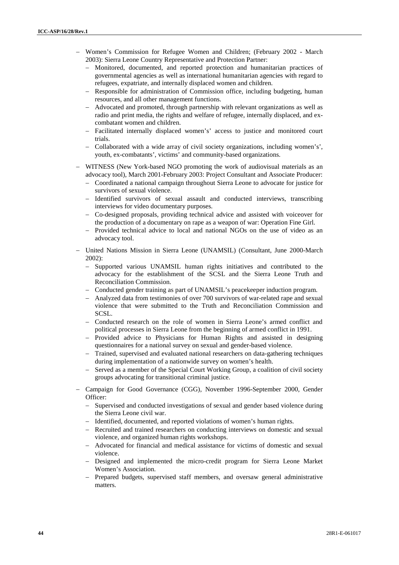- Women's Commission for Refugee Women and Children; (February 2002 March 2003): Sierra Leone Country Representative and Protection Partner:
	- Monitored, documented, and reported protection and humanitarian practices of governmental agencies as well as international humanitarian agencies with regard to refugees, expatriate, and internally displaced women and children.
	- Responsible for administration of Commission office, including budgeting, human resources, and all other management functions.
	- Advocated and promoted, through partnership with relevant organizations as well as radio and print media, the rights and welfare of refugee, internally displaced, and ex combatant women and children.
	- Facilitated internally displaced women's' access to justice and monitored court trials.
	- Collaborated with a wide array of civil society organizations, including women's', youth, ex-combatants', victims' and community-based organizations.
- WITNESS (New York-based NGO promoting the work of audiovisual materials as an advocacy tool), March 2001-February 2003: Project Consultant and Associate Producer:
	- Coordinated a national campaign throughout Sierra Leone to advocate for justice for survivors of sexual violence.
	- Identified survivors of sexual assault and conducted interviews, transcribing interviews for video documentary purposes.
	- Co-designed proposals, providing technical advice and assisted with voiceover for the production of a documentary on rape as a weapon of war: Operation Fine Girl.
	- Provided technical advice to local and national NGOs on the use of video as an advocacy tool.
- United Nations Mission in Sierra Leone (UNAMSIL) (Consultant, June 2000-March  $2002$ 
	- Supported various UNAMSIL human rights initiatives and contributed to the advocacy for the establishment of the SCSL and the Sierra Leone Truth and Reconciliation Commission.
	- Conducted gender training as part of UNAMSIL's peacekeeper induction program.
	- Analyzed data from testimonies of over 700 survivors of war-related rape and sexual violence that were submitted to the Truth and Reconciliation Commission and SCSL.
	- Conducted research on the role of women in Sierra Leone's armed conflict and political processes in Sierra Leone from the beginning of armed conflict in 1991.
	- Provided advice to Physicians for Human Rights and assisted in designing questionnaires for a national survey on sexual and gender-based violence.
	- Trained, supervised and evaluated national researchers on data-gathering techniques during implementation of a nationwide survey on women's health.
	- Served as a member of the Special Court Working Group, a coalition of civil society groups advocating for transitional criminal justice.
- Campaign for Good Governance (CGG), November 1996-September 2000, Gender Officer:
	- Supervised and conducted investigations of sexual and gender based violence during the Sierra Leone civil war.
	- Identified, documented, and reported violations of women's human rights.
	- Recruited and trained researchers on conducting interviews on domestic and sexual violence, and organized human rights workshops.
	- Advocated for financial and medical assistance for victims of domestic and sexual violence.
	- Designed and implemented the micro-credit program for Sierra Leone Market Women's Association.
	- Prepared budgets, supervised staff members, and oversaw general administrative matters.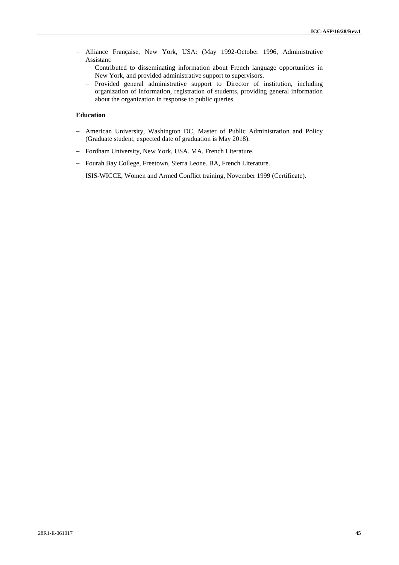- Alliance Française, New York, USA: (May 1992-October 1996, Administrative Assistant:
	- Contributed to disseminating information about French language opportunities in New York, and provided administrative support to supervisors.
	- Provided general administrative support to Director of institution, including organization of information, registration of students, providing general information about the organization in response to public queries.

# **Education**

- American University, Washington DC, Master of Public Administration and Policy (Graduate student, expected date of graduation is May 2018).
- Fordham University, New York, USA. MA, French Literature.
- Fourah Bay College, Freetown, Sierra Leone. BA, French Literature.
- ISIS-WICCE, Women and Armed Conflict training, November 1999 (Certificate).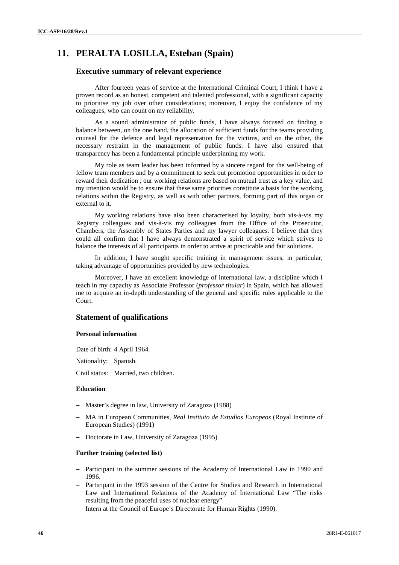# **11. PERALTA LOSILLA, Esteban (Spain)**

# **Executive summary of relevant experience**

After fourteen years of service at the International Criminal Court, I think I have a proven record as an honest, competent and talented professional, with a significant capacity to prioritise my job over other considerations; moreover, I enjoy the confidence of my colleagues, who can count on my reliability.

As a sound administrator of public funds, I have always focused on finding a balance between, on the one hand, the allocation of sufficient funds for the teams providing counsel for the defence and legal representation for the victims, and on the other, the necessary restraint in the management of public funds. I have also ensured that transparency has been a fundamental principle underpinning my work.

My role as team leader has been informed by a sincere regard for the well-being of fellow team members and by a commitment to seek out promotion opportunities in order to reward their dedication ; our working relations are based on mutual trust as a key value, and my intention would be to ensure that these same priorities constitute a basis for the working relations within the Registry, as well as with other partners, forming part of this organ or external to it.

My working relations have also been characterised by loyalty, both vis-à-vis my Registry colleagues and vis-à-vis my colleagues from the Office of the Prosecutor, Chambers, the Assembly of States Parties and my lawyer colleagues. I believe that they could all confirm that I have always demonstrated a spirit of service which strives to balance the interests of all participants in order to arrive at practicable and fair solutions.

In addition, I have sought specific training in management issues, in particular, taking advantage of opportunities provided by new technologies.

Moreover, I have an excellent knowledge of international law, a discipline which I teach in my capacity as Associate Professor (*professor titular*) in Spain, which has allowed me to acquire an in-depth understanding of the general and specific rules applicable to the Court.

# **Statement of qualifications**

# **Personal information**

Date of birth: 4 April 1964.

Nationality: Spanish.

Civil status: Married, two children.

#### **Education**

- Master's degree in law, University of Zaragoza (1988)
- MA in European Communities, *Real Instituto de Estudios Europeos* (Royal Institute of European Studies) (1991)
- Doctorate in Law, University of Zaragoza (1995)

#### **Further training (selected list)**

- Participant in the summer sessions of the Academy of International Law in 1990 and 1996.
- Participant in the 1993 session of the Centre for Studies and Research in International Law and International Relations of the Academy of International Law "The risks resulting from the peaceful uses of nuclear energy"
- Intern at the Council of Europe's Directorate for Human Rights (1990).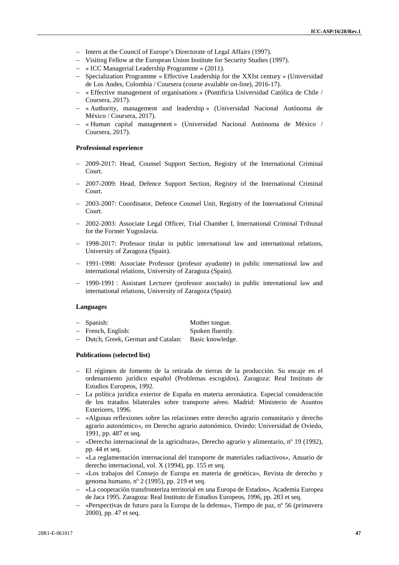- Intern at the Council of Europe's Directorate of Legal Affairs (1997).
- Visiting Fellow at the European Union Institute for Security Studies (1997).
- « ICC Managerial Leadership Programme » (2011).
- Specialization Programme « Effective Leadership for the XXIst century » (Universidad de Los Andes, Colombia / Coursera (course available on-line), 2016-17).
- « Effective management of organisations » (Pontificia Universidad Católica de Chile / Coursera, 2017).
- « Authority, management and leadership » (Universidad Nacional Autónoma de México / Coursera, 2017).
- « Human capital management » (Universidad Nacional Autónoma de México / Coursera, 2017).

#### **Professional experience**

- 2009-2017: Head, Counsel Support Section, Registry of the International Criminal Court.
- 2007-2009: Head, Defence Support Section, Registry of the International Criminal Court.
- 2003-2007: Coordinator, Defence Counsel Unit, Registry of the International Criminal Court.
- 2002-2003: Associate Legal Officer, Trial Chamber I, International Criminal Tribunal for the Former Yugoslavia.
- 1998-2017: Professor titular in public international law and international relations, University of Zaragoza (Spain).
- 1991-1998: Associate Professor (profesor ayudante) in public international law and international relations, University of Zaragoza (Spain).
- 1990-1991 : Assistant Lecturer (professor asociado) in public international law and international relations, University of Zaragoza (Spain).

#### **Languages**

| - Spanish:         | Mother tongue.   |
|--------------------|------------------|
| - French, English: | Spoken fluently. |

- Dutch, Greek, German and Catalan: Basic knowledge.

#### **Publications (selected list)**

- El régimen de fomento de la retirada de tierras de la producción. Su encaje en el ordenamiento jurídico español (Problemas escogidos). Zaragoza: Real Instituto de Estudios Europeos, 1992.
- La política jurídica exterior de España en materia aeronáutica. Especial consideración de los tratados bilaterales sobre transporte aéreo. Madrid: Ministerio de Asuntos Exteriores, 1996.
- «Algunas reflexiones sobre las relaciones entre derecho agrario comunitario y derecho agrario autonómico», en Derecho agrario autonómico. Oviedo: Universidad de Oviedo, 1991, pp. 487 et seq.
- «Derecho internacional de la agricultura», Derecho agrario y alimentario, nº 19 (1992), pp. 44 et seq.
- «La reglamentación internacional del transporte de materiales radiactivos», Anuario de derecho internacional, vol. X (1994), pp. 155 et seq.
- «Los trabajos del Consejo de Europa en materia de genética», Revista de derecho y genoma humano, nº 2 (1995), pp. 219 et seq.
- «La cooperación transfronteriza territorial en una Europa de Estados», Academia Europea de Jaca 1995. Zaragoza: Real Instituto de Estudios Europeos, 1996, pp. 283 et seq.
- «Perspectivas de futuro para la Europa de la defensa», Tiempo de paz, nº 56 (primavera 2000), pp. 47 et seq.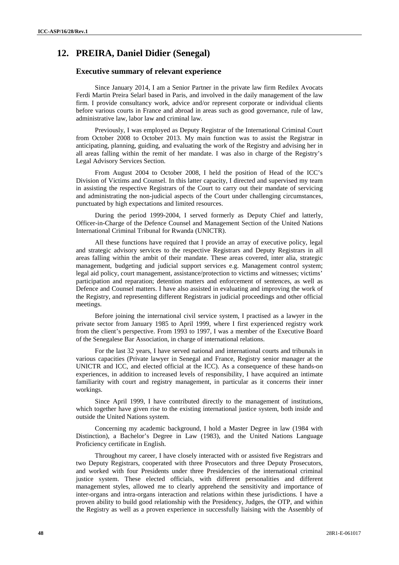# **12. PREIRA, Daniel Didier (Senegal)**

# **Executive summary of relevant experience**

Since January 2014, I am a Senior Partner in the private law firm Redilex Avocats Ferdi Martin Preira Selarl based in Paris, and involved in the daily management of the law firm. I provide consultancy work, advice and/or represent corporate or individual clients before various courts in France and abroad in areas such as good governance, rule of law, administrative law, labor law and criminal law.

Previously, I was employed as Deputy Registrar of the International Criminal Court from October 2008 to October 2013. My main function was to assist the Registrar in anticipating, planning, guiding, and evaluating the work of the Registry and advising her in all areas falling within the remit of her mandate. I was also in charge of the Registry's Legal Advisory Services Section.

From August 2004 to October 2008, I held the position of Head of the ICC's Division of Victims and Counsel. In this latter capacity, I directed and supervised my team in assisting the respective Registrars of the Court to carry out their mandate of servicing and administrating the non-judicial aspects of the Court under challenging circumstances, punctuated by high expectations and limited resources.

During the period 1999-2004, I served formerly as Deputy Chief and latterly, Officer-in-Charge of the Defence Counsel and Management Section of the United Nations International Criminal Tribunal for Rwanda (UNICTR).

All these functions have required that I provide an array of executive policy, legal and strategic advisory services to the respective Registrars and Deputy Registrars in all areas falling within the ambit of their mandate. These areas covered, inter alia, strategic management, budgeting and judicial support services e.g. Management control system; legal aid policy, court management, assistance/protection to victims and witnesses; victims' participation and reparation; detention matters and enforcement of sentences, as well as Defence and Counsel matters. I have also assisted in evaluating and improving the work of the Registry, and representing different Registrars in judicial proceedings and other official meetings.

Before joining the international civil service system, I practised as a lawyer in the private sector from January 1985 to April 1999, where I first experienced registry work from the client's perspective. From 1993 to 1997, I was a member of the Executive Board of the Senegalese Bar Association, in charge of international relations.

For the last 32 years, I have served national and international courts and tribunals in various capacities (Private lawyer in Senegal and France, Registry senior manager at the UNICTR and ICC, and elected official at the ICC). As a consequence of these hands-on experiences, in addition to increased levels of responsibility, I have acquired an intimate familiarity with court and registry management, in particular as it concerns their inner workings.

Since April 1999, I have contributed directly to the management of institutions, which together have given rise to the existing international justice system, both inside and outside the United Nations system.

Concerning my academic background, I hold a Master Degree in law (1984 with Distinction), a Bachelor's Degree in Law (1983), and the United Nations Language Proficiency certificate in English.

Throughout my career, I have closely interacted with or assisted five Registrars and two Deputy Registrars, cooperated with three Prosecutors and three Deputy Prosecutors, and worked with four Presidents under three Presidencies of the international criminal justice system. These elected officials, with different personalities and different management styles, allowed me to clearly apprehend the sensitivity and importance of inter-organs and intra-organs interaction and relations within these jurisdictions. I have a proven ability to build good relationship with the Presidency, Judges, the OTP, and within the Registry as well as a proven experience in successfully liaising with the Assembly of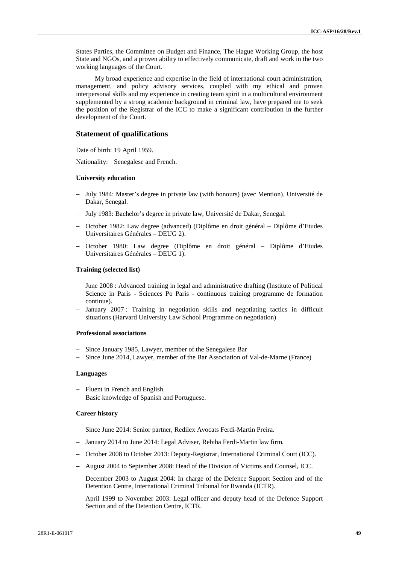States Parties, the Committee on Budget and Finance, The Hague Working Group, the host State and NGOs, and a proven ability to effectively communicate, draft and work in the two working languages of the Court.

My broad experience and expertise in the field of international court administration, management, and policy advisory services, coupled with my ethical and proven interpersonal skills and my experience in creating team spirit in a multicultural environment supplemented by a strong academic background in criminal law, have prepared me to seek the position of the Registrar of the ICC to make a significant contribution in the further development of the Court.

### **Statement of qualifications**

Date of birth: 19 April 1959.

Nationality: Senegalese and French.

#### **University education**

- July 1984: Master's degree in private law (with honours) (avec Mention), Université de Dakar, Senegal.
- July 1983: Bachelor's degree in private law, Université de Dakar, Senegal.
- October 1982: Law degree (advanced) (Diplôme en droit général Diplôme d'Etudes Universitaires Générales – DEUG 2).
- October 1980: Law degree (Diplôme en droit général Diplôme d'Etudes Universitaires Générales – DEUG 1).

#### **Training (selected list)**

- June 2008 : Advanced training in legal and administrative drafting (Institute of Political Science in Paris - Sciences Po Paris - continuous training programme de formation continue).
- January 2007: Training in negotiation skills and negotiating tactics in difficult situations (Harvard University Law School Programme on negotiation)

### **Professional associations**

- Since January 1985, Lawyer, member of the Senegalese Bar
- Since June 2014, Lawyer, member of the Bar Association of Val-de-Marne (France)

#### **Languages**

- Fluent in French and English.
- Basic knowledge of Spanish and Portuguese.

#### **Career history**

- Since June 2014: Senior partner, Redilex Avocats Ferdi-Martin Preira.
- January 2014 to June 2014: Legal Adviser, Rebiha Ferdi-Martin law firm.
- October 2008 to October 2013: Deputy-Registrar, International Criminal Court (ICC).
- August 2004 to September 2008: Head of the Division of Victims and Counsel, ICC.
- December 2003 to August 2004: In charge of the Defence Support Section and of the Detention Centre, International Criminal Tribunal for Rwanda (ICTR).
- April 1999 to November 2003: Legal officer and deputy head of the Defence Support Section and of the Detention Centre, ICTR.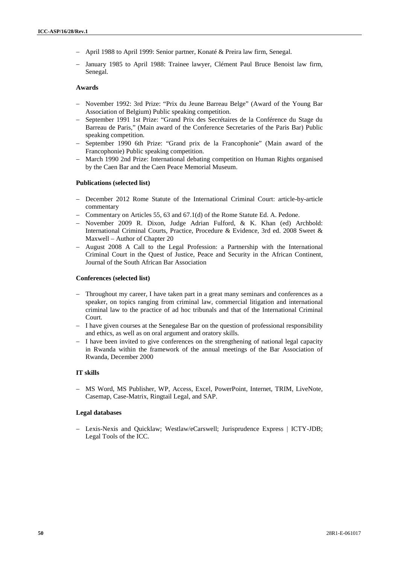- April 1988 to April 1999: Senior partner, Konaté & Preira law firm, Senegal.
- January 1985 to April 1988: Trainee lawyer, Clément Paul Bruce Benoist law firm, Senegal.

#### **Awards**

- November 1992: 3rd Prize: "Prix du Jeune Barreau Belge" (Award of the Young Bar Association of Belgium) Public speaking competition.
- September 1991 1st Prize: "Grand Prix des Secrétaires de la Conférence du Stage du Barreau de Paris," (Main award of the Conference Secretaries of the Paris Bar) Public speaking competition.
- September 1990 6th Prize: "Grand prix de la Francophonie" (Main award of the Francophonie) Public speaking competition.
- March 1990 2nd Prize: International debating competition on Human Rights organised by the Caen Bar and the Caen Peace Memorial Museum.

## **Publications (selected list)**

- December 2012 Rome Statute of the International Criminal Court: article-by-article commentary
- Commentary on Articles 55, 63 and 67.1(d) of the Rome Statute Ed. A. Pedone.
- November 2009 R. Dixon, Judge Adrian Fulford, & K. Khan (ed) Archbold: International Criminal Courts, Practice, Procedure & Evidence, 3rd ed. 2008 Sweet & Maxwell – Author of Chapter 20
- $-$  August 2008 A Call to the Legal Profession: a Partnership with the International Criminal Court in the Quest of Justice, Peace and Security in the African Continent, Journal of the South African Bar Association

#### **Conferences (selected list)**

- Throughout my career, I have taken part in a great many seminars and conferences as a speaker, on topics ranging from criminal law, commercial litigation and international criminal law to the practice of ad hoc tribunals and that of the International Criminal Court.
- I have given courses at the Senegalese Bar on the question of professional responsibility and ethics, as well as on oral argument and oratory skills.
- $-I$  have been invited to give conferences on the strengthening of national legal capacity in Rwanda within the framework of the annual meetings of the Bar Association of Rwanda, December 2000

#### **IT skills**

- MS Word, MS Publisher, WP, Access, Excel, PowerPoint, Internet, TRIM, LiveNote, Casemap, Case-Matrix, Ringtail Legal, and SAP.

#### **Legal databases**

 Lexis-Nexis and Quicklaw; Westlaw/eCarswell; Jurisprudence Express | ICTY-JDB; Legal Tools of the ICC.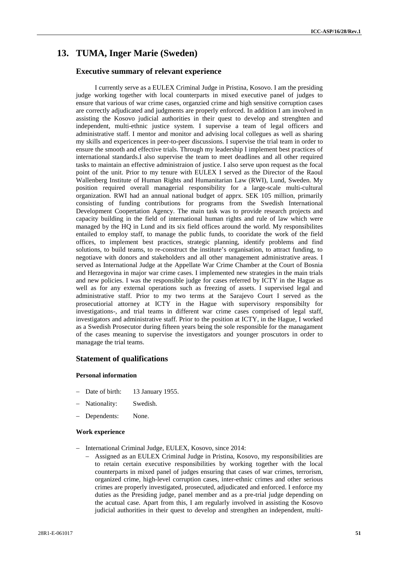# **13. TUMA, Inger Marie (Sweden)**

# **Executive summary of relevant experience**

I currently serve as a EULEX Criminal Judge in Pristina, Kosovo. I am the presiding judge working together with local counterparts in mixed executive panel of judges to ensure that various of war crime cases, organzied crime and high sensitive corruption cases are correctly adjudicated and judgments are properly enforced. In addition I am involved in assisting the Kosovo judicial authorities in their quest to develop and strenghten and independent, multi-ethnic justice system. I supervise a team of legal officers and administrative staff. I mentor and monitor and advising local collegues as well as sharing my skills and expericences in peer-to-peer discussions. I supervise the trial team in order to ensure the smooth and effective trials. Through my leadership I implement best practices of international standards.I also supervise the team to meet deadlines and all other required tasks to maintain an effective administraion of justice. I also serve upon request as the focal point of the unit. Prior to my tenure with EULEX I served as the Director of the Raoul Wallenberg Institute of Human Rights and Humanitarian Law (RWI), Lund, Sweden. My position required overall managerial responsibility for a large-scale multi-cultural organization. RWI had an annual national budget of apprx. SEK 105 million, primarily consisting of funding contributions for programs from the Swedish International Development Coopertation Agency. The main task was to provide research projects and capacity building in the field of international human rights and rule of law which were managed by the HQ in Lund and its six field offices around the world. My responsibilites entailed to employ staff, to manage the public funds, to cooridate the work of the field offices, to implement best practices, strategic planning, identify problems and find solutions, to build teams, to re-construct the institute's organisation, to attract funding, to negotiave with donors and stakeholders and all other management administrative areas. I served as International Judge at the Appellate War Crime Chamber at the Court of Bosnia and Herzegovina in major war crime cases. I implemented new strategies in the main trials and new policies. I was the responsible judge for cases referred by ICTY in the Hague as well as for any external operations such as freezing of assets. I supervised legal and administrative staff. Prior to my two terms at the Sarajevo Court I served as the prosecutiorial attorney at ICTY in the Hague with supervisory responsibilty for investigations-, and trial teams in different war crime cases comprised of legal staff, investigators and administrative staff. Prior to the position at ICTY, in the Hague, I worked as a Swedish Prosecutor during fifteen years being the sole responsible for the managament of the cases meaning to supervise the investigators and younger proscutors in order to managage the trial teams.

### **Statement of qualifications**

#### **Personal information**

- Date of birth: 13 January 1955.
- Nationality: Swedish.
- Dependents: None.

#### **Work experience**

- International Criminal Judge, EULEX, Kosovo, since 2014:
	- Assigned as an EULEX Criminal Judge in Pristina, Kosovo, my responsibilities are to retain certain executive responsibilities by working together with the local counterparts in mixed panel of judges ensuring that cases of war crimes, terrorism, organized crime, high-level corruption cases, inter-ethnic crimes and other serious crimes are properly investigated, prosecuted, adjudicated and enforced. I enforce my duties as the Presiding judge, panel member and as a pre-trial judge depending on the acutual case. Apart from this, I am regularly involved in assisting the Kosovo judicial authorities in their quest to develop and strengthen an independent, multi-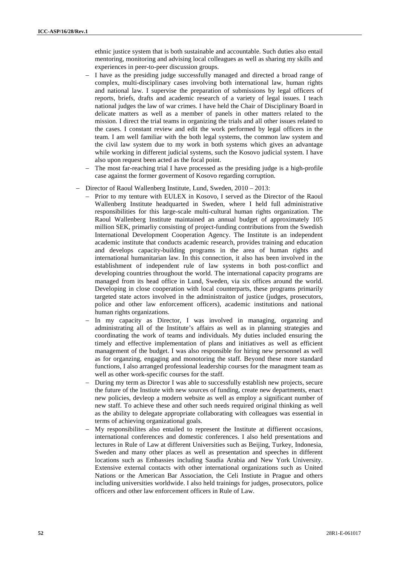ethnic justice system that is both sustainable and accountable. Such duties also entail mentoring, monitoring and advising local colleagues as well as sharing my skills and experiences in peer-to-peer discussion groups.

- I have as the presiding judge successfully managed and directed a broad range of complex, multi-disciplinary cases involving both international law, human rights and national law. I supervise the preparation of submissions by legal officers of reports, briefs, drafts and academic research of a variety of legal issues. I teach national judges the law of war crimes. I have held the Chair of Disciplinary Board in delicate matters as well as a member of panels in other matters related to the mission. I direct the trial teams in organizing the trials and all other issues related to the cases. I constant review and edit the work performed by legal officers in the team. I am well familiar with the both legal systems, the common law system and the civil law system due to my work in both systems which gives an advantage while working in different judicial systems, such the Kosovo judicial system. I have also upon request been acted as the focal point.
- The most far-reaching trial I have processed as the presiding judge is a high-profile case against the former goverment of Kosovo regarding corruption.
- Director of Raoul Wallenberg Institute, Lund, Sweden, 2010 2013:
	- Prior to my tenture with EULEX in Kosovo, I served as the Director of the Raoul Wallenberg Institute headquarted in Sweden, where I held full administrative responsibilities for this large-scale multi-cultural human rights organization. The Raoul Wallenberg Institute maintained an annual budget of approximately 105 million SEK, primarliy consisting of project-funding contributions from the Swedish International Development Cooperation Agency. The Institute is an independent academic institute that conducts academic research, provides training and education and develops capacity-building programs in the area of human rights and international humanitarian law. In this connection, it also has been involved in the establishment of independent rule of law systems in both post-conflict and developing countries throughout the world. The international capacity programs are managed from its head office in Lund, Sweden, via six offices around the world. Developing in close cooperation with local counterparts, these programs primarily targeted state actors involved in the administraiton of justice (judges, prosecutors, police and other law enforcement officers), academic institutions and national human rights organizations.
	- In my capacity as Director, I was involved in managing, organzing and administrating all of the Institute's affairs as well as in planning strategies and coordinating the work of teams and individuals. My duties included ensuring the timely and effective implementation of plans and initiatives as well as efficient management of the budget. I was also responsible for hiring new personnel as well as for organzing, engaging and monotoring the staff. Beyond these more standard functions, I also arranged professional leadership courses for the managment team as well as other work-specific courses for the staff.
	- During my term as Director I was able to successfully establish new projects, secure the future of the Instiute with new sources of funding, create new departments, enact new policies, devleop a modern website as well as employ a significant number of new staff. To achieve these and other such needs required original thinking as well as the ability to delegate appropriate collaborating with colleagues was essential in terms of achieving organizational goals.
	- My responsibilites also entailed to represent the Institute at diffierent occasions, international conferences and domestic conferences. I also held presentations and lectures in Rule of Law at different Universities such as Beijing, Turkey, Indonesia, Sweden and many other places as well as presentation and speeches in different locations such as Embassies including Saudia Arabia and New York University. Extensive external contacts with other international organizations such as United Nations or the American Bar Association, the Celi Instiute in Prague and others including universities worldwide. I also held trainings for judges, prosecutors, police officers and other law enforcement officers in Rule of Law.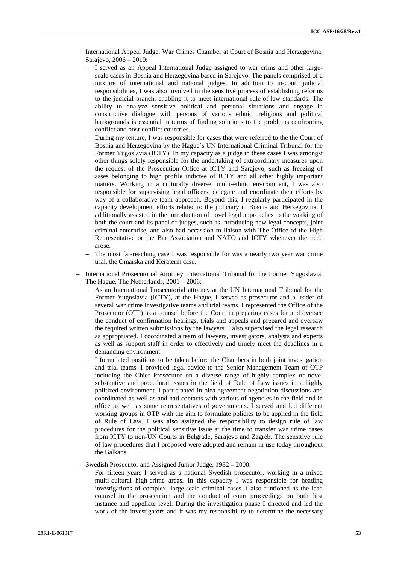- International Appeal Judge, War Crimes Chamber at Court of Bosnia and Herzegovina, Sarajevo, 2006 – 2010:
	- I served as an Appeal International Judge assigned to war crims and other largescale cases in Bosnia and Herzegovina based in Sarejevo. The panels comprised of a mixture of international and national judges. In addition to in-court judicial responsibilities, I was also involved in the sensitive process of establishing reforms to the judicial branch, enabling it to meet international rule-of-law standards. The ability to analyze sensitive political and personal situations and engage in constructive dialogue with persons of various ethnic, religious and political backgrounds is essential in terms of finding solutions to the problems confronting conflict and post-conflict countries.
	- During my tenture, I was responsible for cases that were referred to the the Court of Bosnia and Herzegovina by the Hague´s UN International Criminal Tribunal for the Former Yugoslavia (ICTY). In my capacity as a judge in these cases I was amongst other things solely responsible for the undertaking of extraordinary measures upon the request of the Prosecution Office at ICTY and Sarajevo, such as freezing of asses belonging to high profile indictee of ICTY and all other highly important matters. Working in a culturally diverse, multi-ethnic environment, I was also responsible for supervising legal officers, delegate and coordinate their efforts by way of a collaborative team approach. Beyond this, I regularly participated in the capacity development efforts related to the judiciary in Bosnia and Herzegovina. I additionally assisted in the introduction of novel legal approaches to the working of both the court and its panel of judges, such as introducing new legal concepts, joint criminal enterprise, and also had occassion to liaison with The Office of the High Representative or the Bar Association and NATO and ICTY whenever the need arose.
	- The most far-reaching case I was responsible for was a nearly two year war crime trial, the Omarska and Keraterm case.
- International Prosecutorial Attorney, International Tribunal for the Former Yugoslavia, The Hague, The Netherlands, 2001 – 2006:
	- As an International Prosecutorial attorney at the UN International Tribunal for the Former Yugoslavia (ICTY), at the Hague, I served as prosecutor and a leader of several war crime investigative teams and trial teams. I represented the Office of the Prosecutor (OTP) as a counsel before the Court in preparing cases for and oversee the conduct of confirmation hearings, trials and appeals and prepared and oversaw the required written submissions by the lawyers. I also supervised the legal research as appropriated. I coordinated a team of lawyers, investigators, analysts and experts as well as support staff in order to effectively and timely meet the deadlines in a demanding environment.
	- I formulated positions to be taken before the Chambers in both joint investigation and trial teams. I provided legal advice to the Senior Management Team of OTP including the Chief Prosecutor on a diverse range of highly complex or novel substantive and procedural issues in the field of Rule of Law issues in a highly politized environment. I participated in plea agreement negotiation discussions and coordinated as well as and had contacts with various of agencies in the field and in office as well as some representatives of governments. I served and led different working groups in OTP with the aim to formulate policies to be applied in the field of Rule of Law. I was also assigned the responsibility to design rule of law procedures for the political sensitive issue at the time to transfer war crime cases from ICTY to non-UN Courts in Belgrade, Sarajevo and Zagreb. The sensitive rule of law procedures that I proposed were adopted and remain in use today throughout the Balkans.
- Swedish Prosecutor and Assigned Junior Judge, 1982 2000:
	- For fifteen years I served as a national Swedish prosecutor, working in a mixed multi-cultural high-crime areas. In this capacity I was responsible for heading investigations of complex, large-scale criminal cases. I also funtioned as the lead counsel in the prosecution and the conduct of court proceedings on both first instance and appellate level. During the investigation phase I directed and led the work of the investigators and it was my responsibility to determine the necessary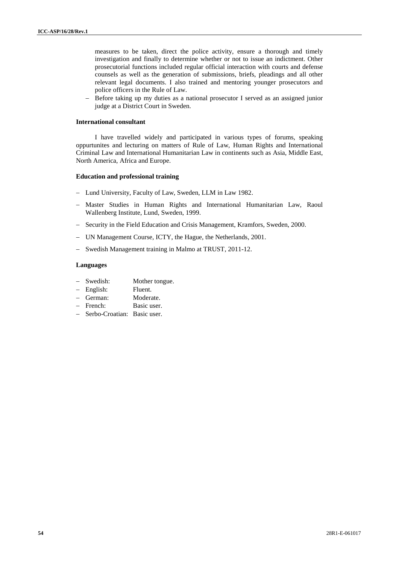measures to be taken, direct the police activity, ensure a thorough and timely investigation and finally to determine whether or not to issue an indictment. Other prosecutorial functions included regular official interaction with courts and defense counsels as well as the generation of submissions, briefs, pleadings and all other relevant legal documents. I also trained and mentoring younger prosecutors and police officers in the Rule of Law.

 Before taking up my duties as a national prosecutor I served as an assigned junior judge at a District Court in Sweden.

#### **International consultant**

I have travelled widely and participated in various types of forums, speaking oppurtunites and lecturing on matters of Rule of Law, Human Rights and International Criminal Law and International Humanitarian Law in continents such as Asia, Middle East, North America, Africa and Europe.

#### **Education and professional training**

- Lund University, Faculty of Law, Sweden, LLM in Law 1982.
- Master Studies in Human Rights and International Humanitarian Law, Raoul Wallenberg Institute, Lund, Sweden, 1999.
- Security in the Field Education and Crisis Management, Kramfors, Sweden, 2000.
- UN Management Course, ICTY, the Hague, the Netherlands, 2001.
- Swedish Management training in Malmo at TRUST, 2011-12.

#### **Languages**

- Swedish: Mother tongue.
- English: Fluent.
- German: Moderate.
- French: Basic user.
- Serbo-Croatian: Basic user.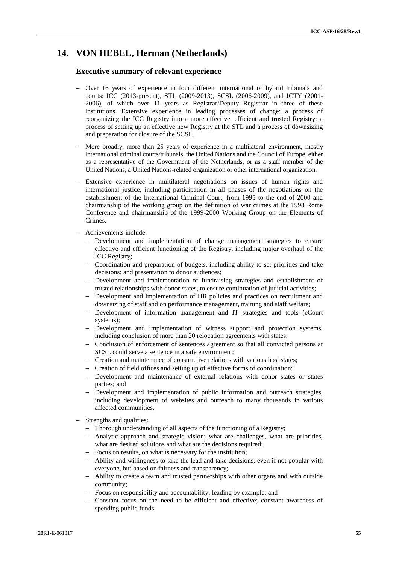# **14. VON HEBEL, Herman (Netherlands)**

# **Executive summary of relevant experience**

- Over 16 years of experience in four different international or hybrid tribunals and courts: ICC (2013-present), STL (2009-2013), SCSL (2006-2009), and ICTY (2001- 2006), of which over 11 years as Registrar/Deputy Registrar in three of these institutions. Extensive experience in leading processes of change: a process of reorganizing the ICC Registry into a more effective, efficient and trusted Registry; a process of setting up an effective new Registry at the STL and a process of downsizing and preparation for closure of the SCSL.
- More broadly, more than 25 years of experience in a multilateral environment, mostly international criminal courts/tribunals, the United Nations and the Council of Europe, either as a representative of the Government of the Netherlands, or as a staff member of the United Nations, a United Nations-related organization or other international organization.
- Extensive experience in multilateral negotiations on issues of human rights and international justice, including participation in all phases of the negotiations on the establishment of the International Criminal Court, from 1995 to the end of 2000 and chairmanship of the working group on the definition of war crimes at the 1998 Rome Conference and chairmanship of the 1999-2000 Working Group on the Elements of Crimes.
- Achievements include:
	- Development and implementation of change management strategies to ensure effective and efficient functioning of the Registry, including major overhaul of the ICC Registry;
	- Coordination and preparation of budgets, including ability to set priorities and take decisions; and presentation to donor audiences;
	- Development and implementation of fundraising strategies and establishment of trusted relationships with donor states, to ensure continuation of judicial activities;
	- Development and implementation of HR policies and practices on recruitment and downsizing of staff and on performance management, training and staff welfare;
	- Development of information management and IT strategies and tools (eCourt systems);
	- Development and implementation of witness support and protection systems, including conclusion of more than 20 relocation agreements with states;
	- Conclusion of enforcement of sentences agreement so that all convicted persons at SCSL could serve a sentence in a safe environment;
	- Creation and maintenance of constructive relations with various host states;
	- Creation of field offices and setting up of effective forms of coordination;
	- Development and maintenance of external relations with donor states or states parties; and
	- Development and implementation of public information and outreach strategies, including development of websites and outreach to many thousands in various affected communities.
- Strengths and qualities:
	- Thorough understanding of all aspects of the functioning of a Registry;
	- Analytic approach and strategic vision: what are challenges, what are priorities, what are desired solutions and what are the decisions required;
	- Focus on results, on what is necessary for the institution;
	- Ability and willingness to take the lead and take decisions, even if not popular with everyone, but based on fairness and transparency;
	- Ability to create a team and trusted partnerships with other organs and with outside community;
	- Focus on responsibility and accountability; leading by example; and
	- Constant focus on the need to be efficient and effective; constant awareness of spending public funds.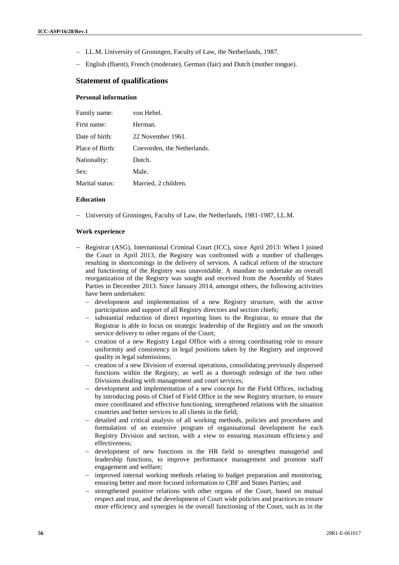- LL.M. University of Groningen, Faculty of Law, the Netherlands, 1987.
- English (fluent), French (moderate), German (fair) and Dutch (mother tongue).

# **Statement of qualifications**

# **Personal information**

| Family name:    | von Hebel.                  |
|-----------------|-----------------------------|
| First name:     | Herman.                     |
| Date of birth:  | 22 November 1961.           |
| Place of Birth: | Coevorden, the Netherlands. |
| Nationality:    | Dutch.                      |
| Sex:            | Male.                       |
| Marital status: | Married, 2 children.        |

#### **Education**

University of Groningen, Faculty of Law, the Netherlands, 1981-1987, LL.M.

#### **Work experience**

- Registrar (ASG), International Criminal Court (ICC), since April 2013: When I joined the Court in April 2013, the Registry was confronted with a number of challenges resulting in shortcomings in the delivery of services. A radical reform of the structure and functioning of the Registry was unavoidable. A mandate to undertake an overall reorganization of the Registry was sought and received from the Assembly of States Parties in December 2013. Since January 2014, amongst others, the following activities have been undertaken:
	- development and implementation of a new Registry structure, with the active participation and support of all Registry directors and section chiefs;
	- substantial reduction of direct reporting lines to the Registrar, to ensure that the Registrar is able to focus on strategic leadership of the Registry and on the smooth service delivery to other organs of the Court;
	- creation of a new Registry Legal Office with a strong coordinating role to ensure uniformity and consistency in legal positions taken by the Registry and improved quality in legal submissions;
	- creation of a new Division of external operations, consolidating previously dispersed functions within the Registry, as well as a thorough redesign of the two other Divisions dealing with management and court services;
	- development and implementation of a new concept for the Field Offices, including by introducing posts of Chief of Field Office in the new Registry structure, to ensure more coordinated and effective functioning, strengthened relations with the situation countries and better services to all clients in the field;
	- detailed and critical analysis of all working methods, policies and procedures and formulation of an extensive program of organisational development for each Registry Division and section, with a view to ensuring maximum efficiency and effectiveness;
	- development of new functions in the HR field to strengthen managerial and leadership functions, to improve performance management and promote staff engagement and welfare;
	- improved internal working methods relating to budget preparation and monitoring, ensuring better and more focused information to CBF and States Parties; and
	- strengthened positive relations with other organs of the Court, based on mutual respect and trust, and the development of Court wide policies and practices to ensure more efficiency and synergies in the overall functioning of the Court, such as in the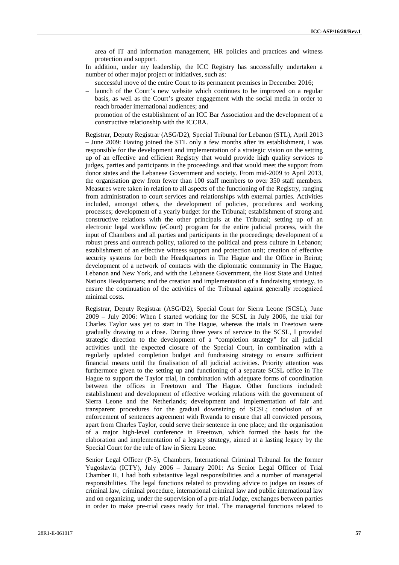area of IT and information management, HR policies and practices and witness protection and support.

In addition, under my leadership, the ICC Registry has successfully undertaken a number of other major project or initiatives, such as:

- successful move of the entire Court to its permanent premises in December 2016;
- launch of the Court's new website which continues to be improved on a regular basis, as well as the Court's greater engagement with the social media in order to reach broader international audiences; and
- promotion of the establishment of an ICC Bar Association and the development of a constructive relationship with the ICCBA.
- Registrar, Deputy Registrar (ASG/D2), Special Tribunal for Lebanon (STL), April 2013 – June 2009: Having joined the STL only a few months after its establishment, I was responsible for the development and implementation of a strategic vision on the setting up of an effective and efficient Registry that would provide high quality services to judges, parties and participants in the proceedings and that would meet the support from donor states and the Lebanese Government and society. From mid-2009 to April 2013, the organisation grew from fewer than 100 staff members to over 350 staff members. Measures were taken in relation to all aspects of the functioning of the Registry, ranging from administration to court services and relationships with external parties. Activities included, amongst others, the development of policies, procedures and working processes; development of a yearly budget for the Tribunal; establishment of strong and constructive relations with the other principals at the Tribunal; setting up of an electronic legal workflow (eCourt) program for the entire judicial process, with the input of Chambers and all parties and participants in the proceedings; development of a robust press and outreach policy, tailored to the political and press culture in Lebanon; establishment of an effective witness support and protection unit; creation of effective security systems for both the Headquarters in The Hague and the Office in Beirut; development of a network of contacts with the diplomatic community in The Hague, Lebanon and New York, and with the Lebanese Government, the Host State and United Nations Headquarters; and the creation and implementation of a fundraising strategy, to ensure the continuation of the activities of the Tribunal against generally recognized minimal costs.
- Registrar, Deputy Registrar (ASG/D2), Special Court for Sierra Leone (SCSL), June 2009 – July 2006: When I started working for the SCSL in July 2006, the trial for Charles Taylor was yet to start in The Hague, whereas the trials in Freetown were gradually drawing to a close. During three years of service to the SCSL, I provided strategic direction to the development of a "completion strategy" for all judicial activities until the expected closure of the Special Court, in combination with a regularly updated completion budget and fundraising strategy to ensure sufficient financial means until the finalisation of all judicial activities. Priority attention was furthermore given to the setting up and functioning of a separate SCSL office in The Hague to support the Taylor trial, in combination with adequate forms of coordination between the offices in Freetown and The Hague. Other functions included: establishment and development of effective working relations with the government of Sierra Leone and the Netherlands; development and implementation of fair and transparent procedures for the gradual downsizing of SCSL; conclusion of an enforcement of sentences agreement with Rwanda to ensure that all convicted persons, apart from Charles Taylor, could serve their sentence in one place; and the organisation of a major high-level conference in Freetown, which formed the basis for the elaboration and implementation of a legacy strategy, aimed at a lasting legacy by the Special Court for the rule of law in Sierra Leone.
- Senior Legal Officer (P-5), Chambers, International Criminal Tribunal for the former Yugoslavia (ICTY), July 2006 – January 2001: As Senior Legal Officer of Trial Chamber II, I had both substantive legal responsibilities and a number of managerial responsibilities. The legal functions related to providing advice to judges on issues of criminal law, criminal procedure, international criminal law and public international law and on organizing, under the supervision of a pre-trial Judge, exchanges between parties in order to make pre-trial cases ready for trial. The managerial functions related to